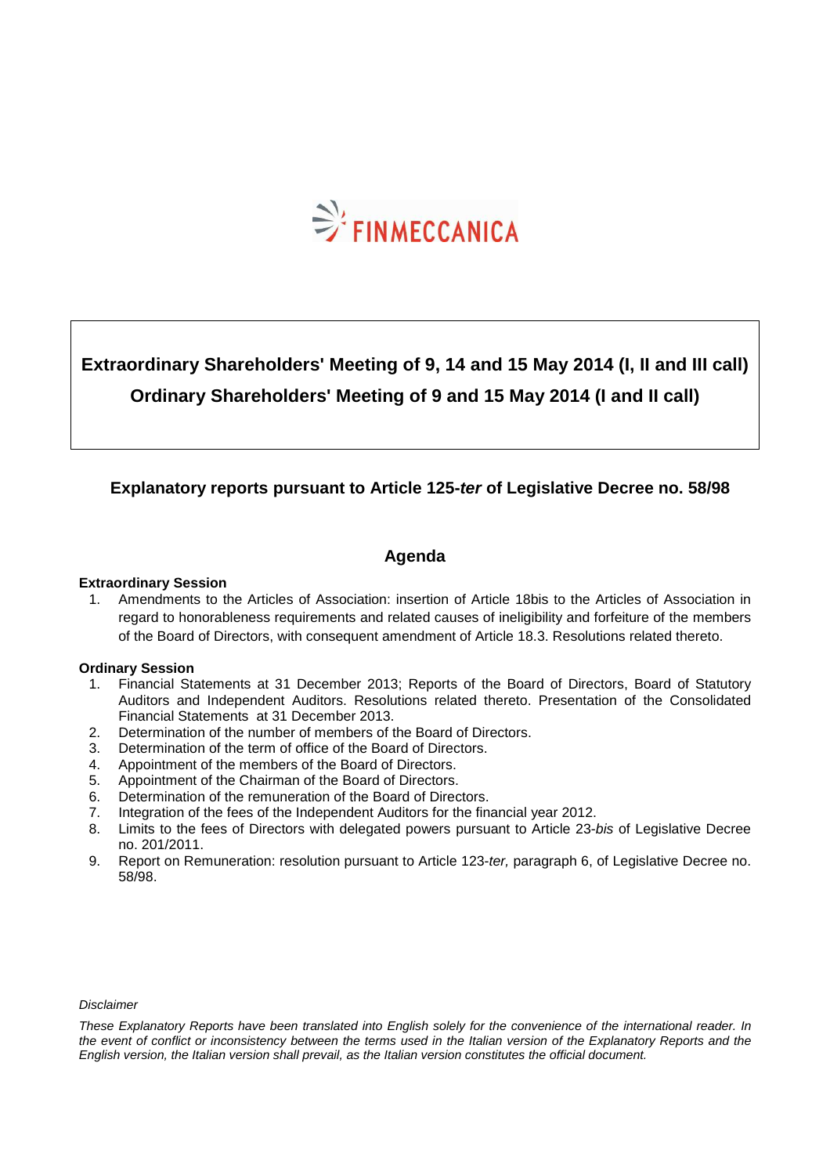

# **Extraordinary Shareholders' Meeting of 9, 14 and 15 May 2014 (I, II and III call) Ordinary Shareholders' Meeting of 9 and 15 May 2014 (I and II call)**

### **Explanatory reports pursuant to Article 125-ter of Legislative Decree no. 58/98**

### **Agenda**

#### **Extraordinary Session**

1. Amendments to the Articles of Association: insertion of Article 18bis to the Articles of Association in regard to honorableness requirements and related causes of ineligibility and forfeiture of the members of the Board of Directors, with consequent amendment of Article 18.3. Resolutions related thereto.

#### **Ordinary Session**

- 1. Financial Statements at 31 December 2013; Reports of the Board of Directors, Board of Statutory Auditors and Independent Auditors. Resolutions related thereto. Presentation of the Consolidated Financial Statements at 31 December 2013.
- 2. Determination of the number of members of the Board of Directors.
- 3. Determination of the term of office of the Board of Directors.
- 4. Appointment of the members of the Board of Directors.
- 5. Appointment of the Chairman of the Board of Directors.
- 6. Determination of the remuneration of the Board of Directors.
- 7. Integration of the fees of the Independent Auditors for the financial year 2012.
- 8. Limits to the fees of Directors with delegated powers pursuant to Article 23-bis of Legislative Decree no. 201/2011.
- 9. Report on Remuneration: resolution pursuant to Article 123-ter, paragraph 6, of Legislative Decree no. 58/98.

#### Disclaimer

These Explanatory Reports have been translated into English solely for the convenience of the international reader. In the event of conflict or inconsistency between the terms used in the Italian version of the Explanatory Reports and the English version, the Italian version shall prevail, as the Italian version constitutes the official document.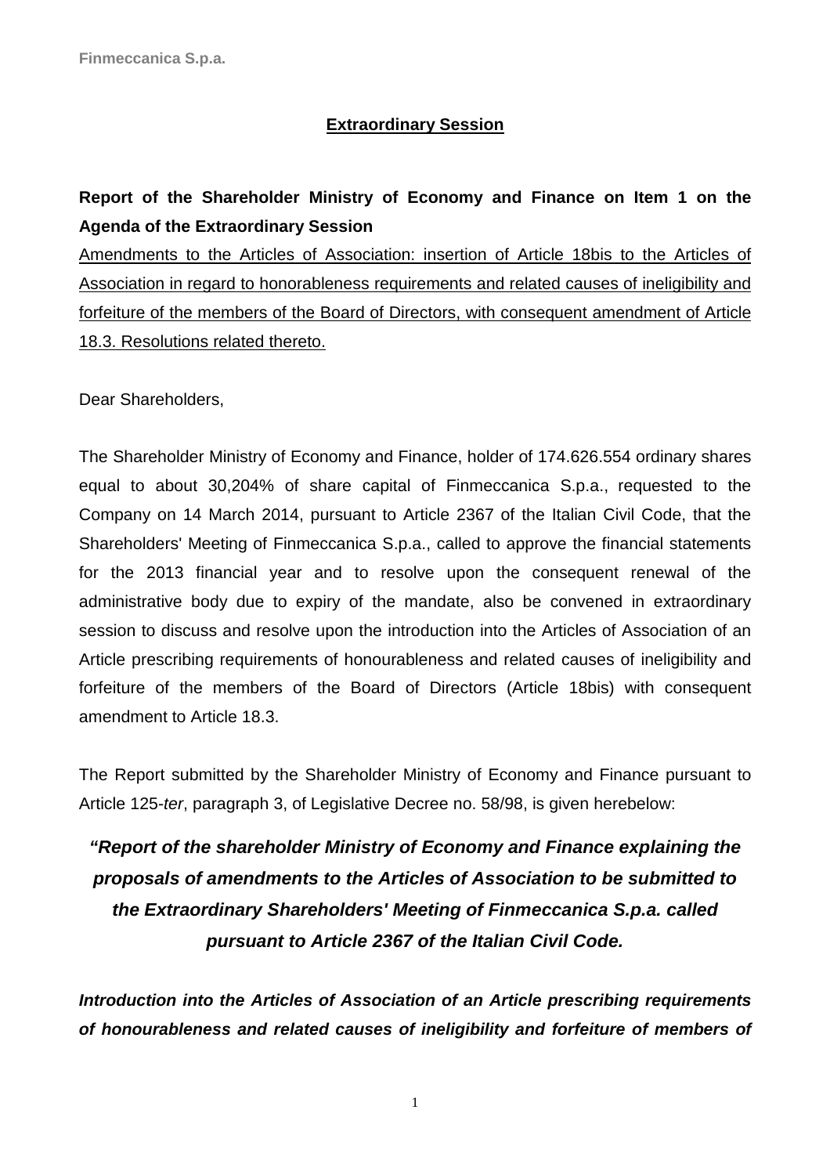### **Extraordinary Session**

## **Report of the Shareholder Ministry of Economy and Finance on Item 1 on the Agenda of the Extraordinary Session**

Amendments to the Articles of Association: insertion of Article 18bis to the Articles of Association in regard to honorableness requirements and related causes of ineligibility and forfeiture of the members of the Board of Directors, with consequent amendment of Article 18.3. Resolutions related thereto.

Dear Shareholders,

The Shareholder Ministry of Economy and Finance, holder of 174.626.554 ordinary shares equal to about 30,204% of share capital of Finmeccanica S.p.a., requested to the Company on 14 March 2014, pursuant to Article 2367 of the Italian Civil Code, that the Shareholders' Meeting of Finmeccanica S.p.a., called to approve the financial statements for the 2013 financial year and to resolve upon the consequent renewal of the administrative body due to expiry of the mandate, also be convened in extraordinary session to discuss and resolve upon the introduction into the Articles of Association of an Article prescribing requirements of honourableness and related causes of ineligibility and forfeiture of the members of the Board of Directors (Article 18bis) with consequent amendment to Article 18.3.

The Report submitted by the Shareholder Ministry of Economy and Finance pursuant to Article 125-ter, paragraph 3, of Legislative Decree no. 58/98, is given herebelow:

# **"Report of the shareholder Ministry of Economy and Finance explaining the proposals of amendments to the Articles of Association to be submitted to the Extraordinary Shareholders' Meeting of Finmeccanica S.p.a. called pursuant to Article 2367 of the Italian Civil Code.**

**Introduction into the Articles of Association of an Article prescribing requirements of honourableness and related causes of ineligibility and forfeiture of members of**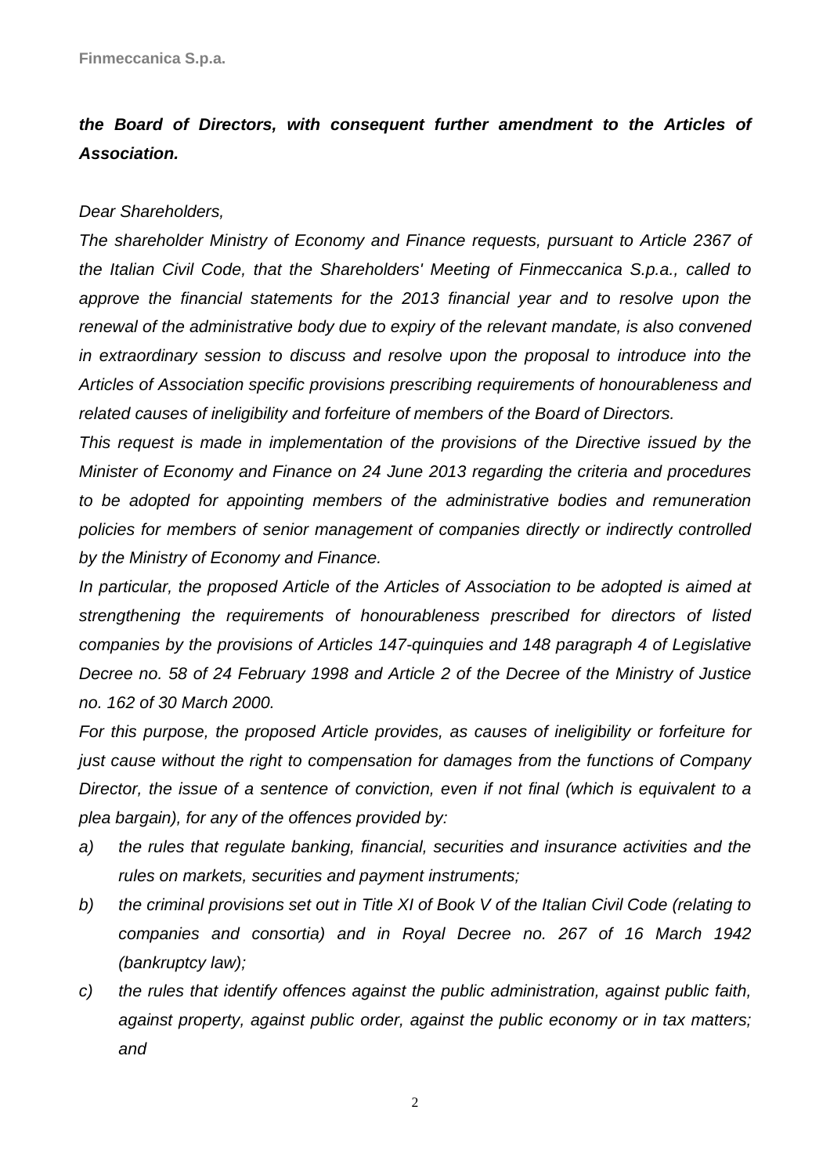# **the Board of Directors, with consequent further amendment to the Articles of Association.**

### Dear Shareholders,

The shareholder Ministry of Economy and Finance requests, pursuant to Article 2367 of the Italian Civil Code, that the Shareholders' Meeting of Finmeccanica S.p.a., called to approve the financial statements for the 2013 financial year and to resolve upon the renewal of the administrative body due to expiry of the relevant mandate, is also convened in extraordinary session to discuss and resolve upon the proposal to introduce into the Articles of Association specific provisions prescribing requirements of honourableness and related causes of ineligibility and forfeiture of members of the Board of Directors.

This request is made in implementation of the provisions of the Directive issued by the Minister of Economy and Finance on 24 June 2013 regarding the criteria and procedures to be adopted for appointing members of the administrative bodies and remuneration policies for members of senior management of companies directly or indirectly controlled by the Ministry of Economy and Finance.

In particular, the proposed Article of the Articles of Association to be adopted is aimed at strengthening the requirements of honourableness prescribed for directors of listed companies by the provisions of Articles 147-quinquies and 148 paragraph 4 of Legislative Decree no. 58 of 24 February 1998 and Article 2 of the Decree of the Ministry of Justice no. 162 of 30 March 2000.

For this purpose, the proposed Article provides, as causes of ineligibility or forfeiture for just cause without the right to compensation for damages from the functions of Company Director, the issue of a sentence of conviction, even if not final (which is equivalent to a plea bargain), for any of the offences provided by:

- a) the rules that regulate banking, financial, securities and insurance activities and the rules on markets, securities and payment instruments;
- b) the criminal provisions set out in Title XI of Book V of the Italian Civil Code (relating to companies and consortia) and in Royal Decree no. 267 of 16 March 1942 (bankruptcy law);
- c) the rules that identify offences against the public administration, against public faith, against property, against public order, against the public economy or in tax matters; and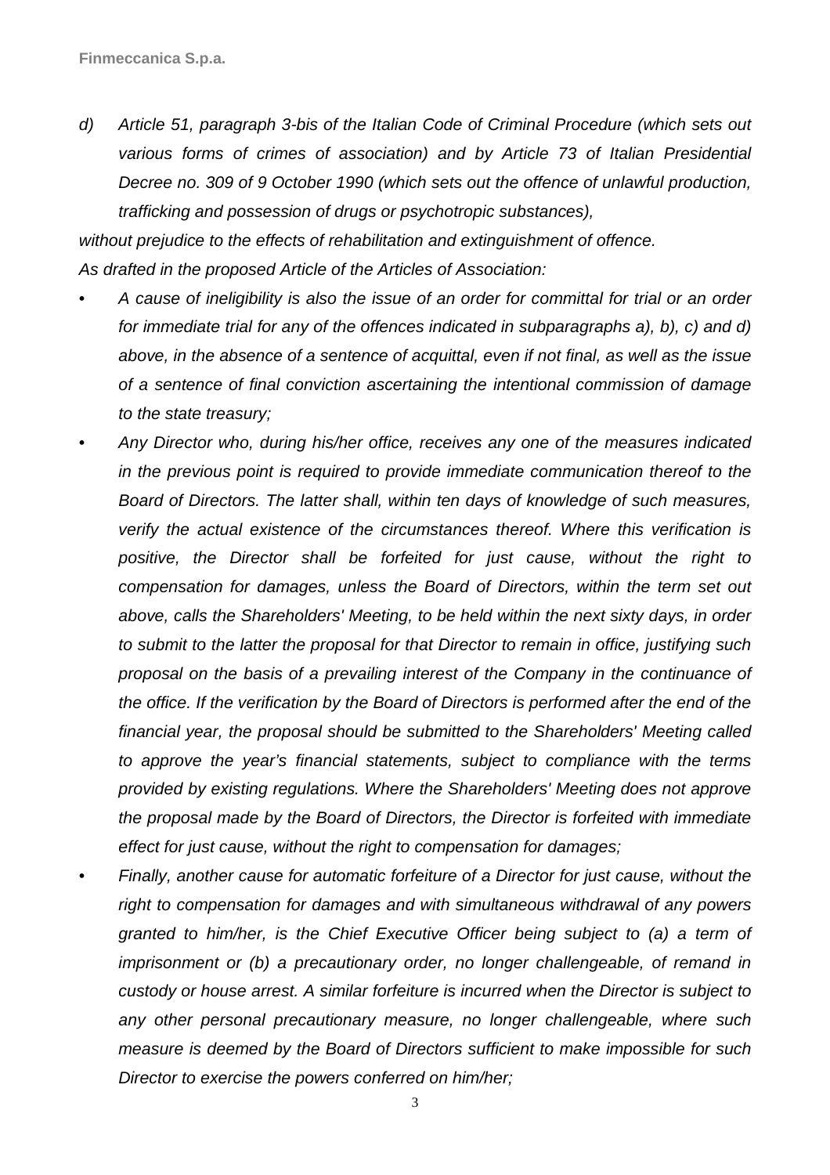d) Article 51, paragraph 3-bis of the Italian Code of Criminal Procedure (which sets out various forms of crimes of association) and by Article 73 of Italian Presidential Decree no. 309 of 9 October 1990 (which sets out the offence of unlawful production, trafficking and possession of drugs or psychotropic substances),

without prejudice to the effects of rehabilitation and extinguishment of offence. As drafted in the proposed Article of the Articles of Association:

- A cause of ineligibility is also the issue of an order for committal for trial or an order for immediate trial for any of the offences indicated in subparagraphs a), b), c) and d) above, in the absence of a sentence of acquittal, even if not final, as well as the issue of a sentence of final conviction ascertaining the intentional commission of damage to the state treasury;
- Any Director who, during his/her office, receives any one of the measures indicated in the previous point is required to provide immediate communication thereof to the Board of Directors. The latter shall, within ten days of knowledge of such measures, verify the actual existence of the circumstances thereof. Where this verification is positive, the Director shall be forfeited for just cause, without the right to compensation for damages, unless the Board of Directors, within the term set out above, calls the Shareholders' Meeting, to be held within the next sixty days, in order to submit to the latter the proposal for that Director to remain in office, justifying such proposal on the basis of a prevailing interest of the Company in the continuance of the office. If the verification by the Board of Directors is performed after the end of the financial year, the proposal should be submitted to the Shareholders' Meeting called to approve the year's financial statements, subject to compliance with the terms provided by existing regulations. Where the Shareholders' Meeting does not approve the proposal made by the Board of Directors, the Director is forfeited with immediate effect for just cause, without the right to compensation for damages;
- Finally, another cause for automatic forfeiture of a Director for just cause, without the right to compensation for damages and with simultaneous withdrawal of any powers granted to him/her, is the Chief Executive Officer being subject to (a) a term of imprisonment or (b) a precautionary order, no longer challengeable, of remand in custody or house arrest. A similar forfeiture is incurred when the Director is subject to any other personal precautionary measure, no longer challengeable, where such measure is deemed by the Board of Directors sufficient to make impossible for such Director to exercise the powers conferred on him/her;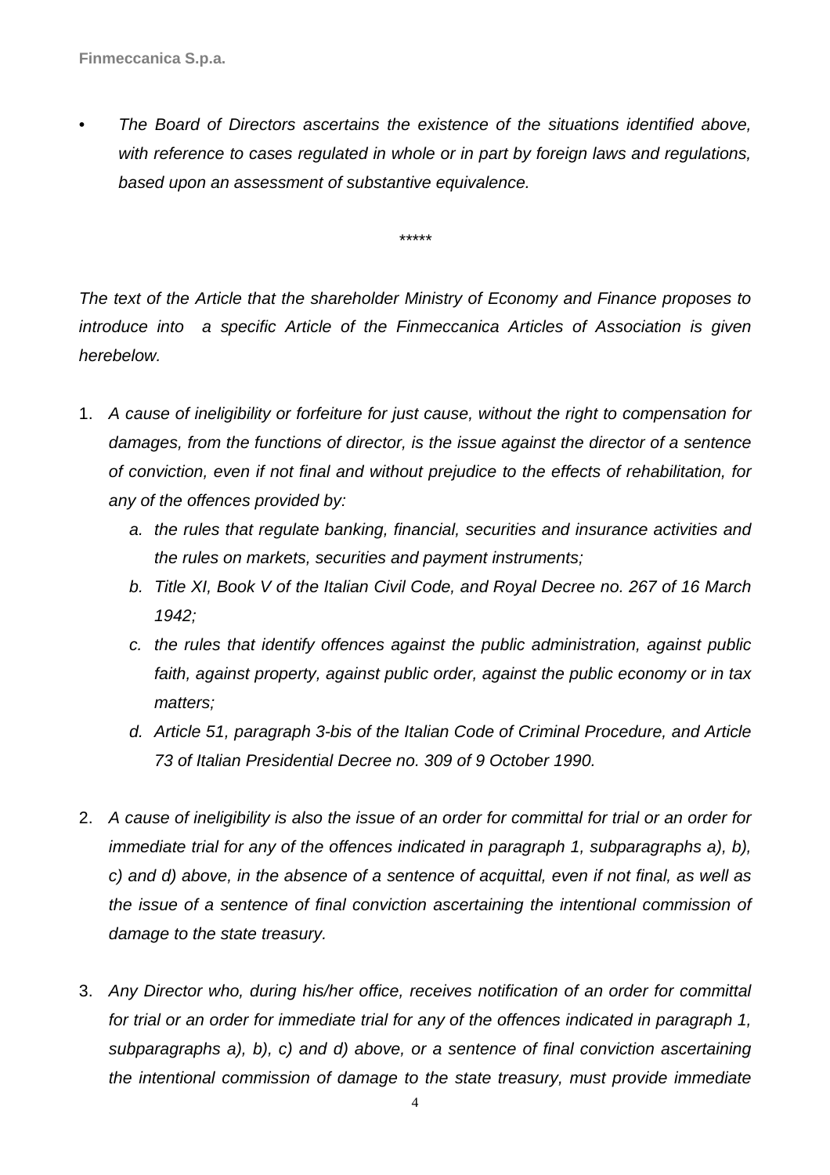• The Board of Directors ascertains the existence of the situations identified above, with reference to cases regulated in whole or in part by foreign laws and regulations, based upon an assessment of substantive equivalence.

\*\*\*\*\*

The text of the Article that the shareholder Ministry of Economy and Finance proposes to introduce into a specific Article of the Finmeccanica Articles of Association is given herebelow.

- 1. A cause of ineligibility or forfeiture for just cause, without the right to compensation for damages, from the functions of director, is the issue against the director of a sentence of conviction, even if not final and without prejudice to the effects of rehabilitation, for any of the offences provided by:
	- a. the rules that regulate banking, financial, securities and insurance activities and the rules on markets, securities and payment instruments;
	- b. Title XI, Book V of the Italian Civil Code, and Royal Decree no. 267 of 16 March 1942;
	- c. the rules that identify offences against the public administration, against public faith, against property, against public order, against the public economy or in tax matters;
	- d. Article 51, paragraph 3-bis of the Italian Code of Criminal Procedure, and Article 73 of Italian Presidential Decree no. 309 of 9 October 1990.
- 2. A cause of ineligibility is also the issue of an order for committal for trial or an order for immediate trial for any of the offences indicated in paragraph 1, subparagraphs a), b), c) and d) above, in the absence of a sentence of acquittal, even if not final, as well as the issue of a sentence of final conviction ascertaining the intentional commission of damage to the state treasury.
- 3. Any Director who, during his/her office, receives notification of an order for committal for trial or an order for immediate trial for any of the offences indicated in paragraph 1, subparagraphs a), b), c) and d) above, or a sentence of final conviction ascertaining the intentional commission of damage to the state treasury, must provide immediate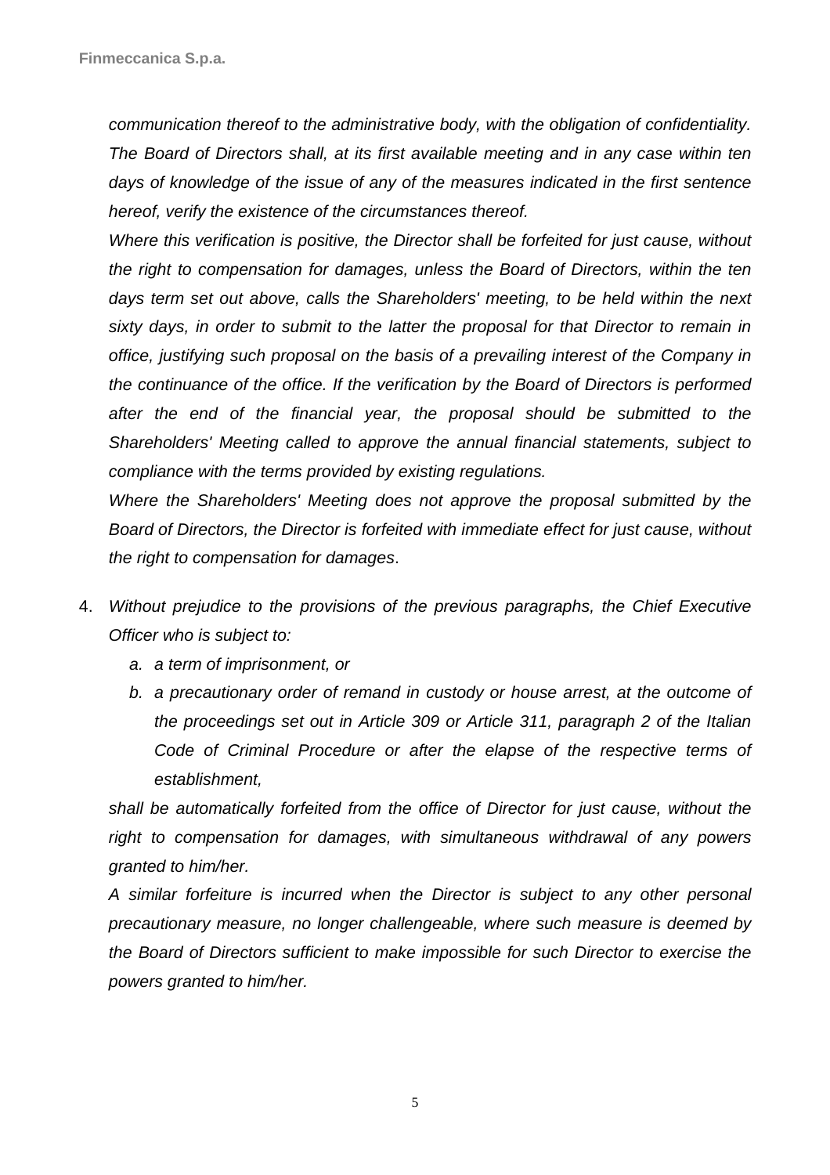communication thereof to the administrative body, with the obligation of confidentiality. The Board of Directors shall, at its first available meeting and in any case within ten days of knowledge of the issue of any of the measures indicated in the first sentence hereof, verify the existence of the circumstances thereof.

Where this verification is positive, the Director shall be forfeited for just cause, without the right to compensation for damages, unless the Board of Directors, within the ten days term set out above, calls the Shareholders' meeting, to be held within the next sixty days, in order to submit to the latter the proposal for that Director to remain in office, justifying such proposal on the basis of a prevailing interest of the Company in the continuance of the office. If the verification by the Board of Directors is performed after the end of the financial year, the proposal should be submitted to the Shareholders' Meeting called to approve the annual financial statements, subject to compliance with the terms provided by existing regulations.

Where the Shareholders' Meeting does not approve the proposal submitted by the Board of Directors, the Director is forfeited with immediate effect for just cause, without the right to compensation for damages.

- 4. Without prejudice to the provisions of the previous paragraphs, the Chief Executive Officer who is subject to:
	- a. a term of imprisonment, or
	- b. a precautionary order of remand in custody or house arrest, at the outcome of the proceedings set out in Article 309 or Article 311, paragraph 2 of the Italian Code of Criminal Procedure or after the elapse of the respective terms of establishment,

shall be automatically forfeited from the office of Director for just cause, without the right to compensation for damages, with simultaneous withdrawal of any powers granted to him/her.

A similar forfeiture is incurred when the Director is subject to any other personal precautionary measure, no longer challengeable, where such measure is deemed by the Board of Directors sufficient to make impossible for such Director to exercise the powers granted to him/her.

5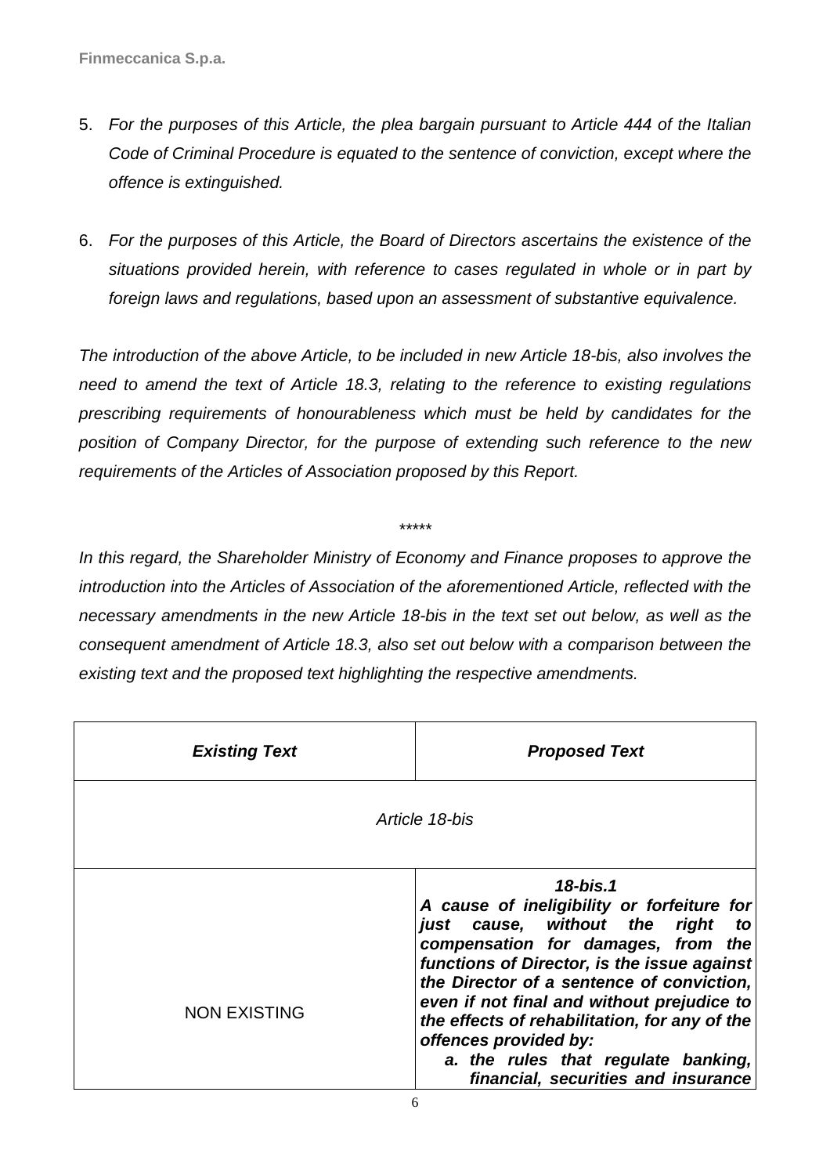- 5. For the purposes of this Article, the plea bargain pursuant to Article 444 of the Italian Code of Criminal Procedure is equated to the sentence of conviction, except where the offence is extinguished.
- 6. For the purposes of this Article, the Board of Directors ascertains the existence of the situations provided herein, with reference to cases regulated in whole or in part by foreign laws and regulations, based upon an assessment of substantive equivalence.

The introduction of the above Article, to be included in new Article 18-bis, also involves the need to amend the text of Article 18.3, relating to the reference to existing regulations prescribing requirements of honourableness which must be held by candidates for the position of Company Director, for the purpose of extending such reference to the new requirements of the Articles of Association proposed by this Report.

In this regard, the Shareholder Ministry of Economy and Finance proposes to approve the introduction into the Articles of Association of the aforementioned Article, reflected with the necessary amendments in the new Article 18-bis in the text set out below, as well as the consequent amendment of Article 18.3, also set out below with a comparison between the existing text and the proposed text highlighting the respective amendments.

\*\*\*\*\*

| <b>Existing Text</b> | <b>Proposed Text</b>                                                                                                                                                                                                                                                                                                                                                                                                                     |  |
|----------------------|------------------------------------------------------------------------------------------------------------------------------------------------------------------------------------------------------------------------------------------------------------------------------------------------------------------------------------------------------------------------------------------------------------------------------------------|--|
| Article 18-bis       |                                                                                                                                                                                                                                                                                                                                                                                                                                          |  |
| <b>NON EXISTING</b>  | $18$ -bis.1<br>A cause of ineligibility or forfeiture for<br>just cause, without the right<br>to<br>compensation for damages, from the<br>functions of Director, is the issue against<br>the Director of a sentence of conviction,<br>even if not final and without prejudice to<br>the effects of rehabilitation, for any of the<br>offences provided by:<br>a. the rules that regulate banking,<br>financial, securities and insurance |  |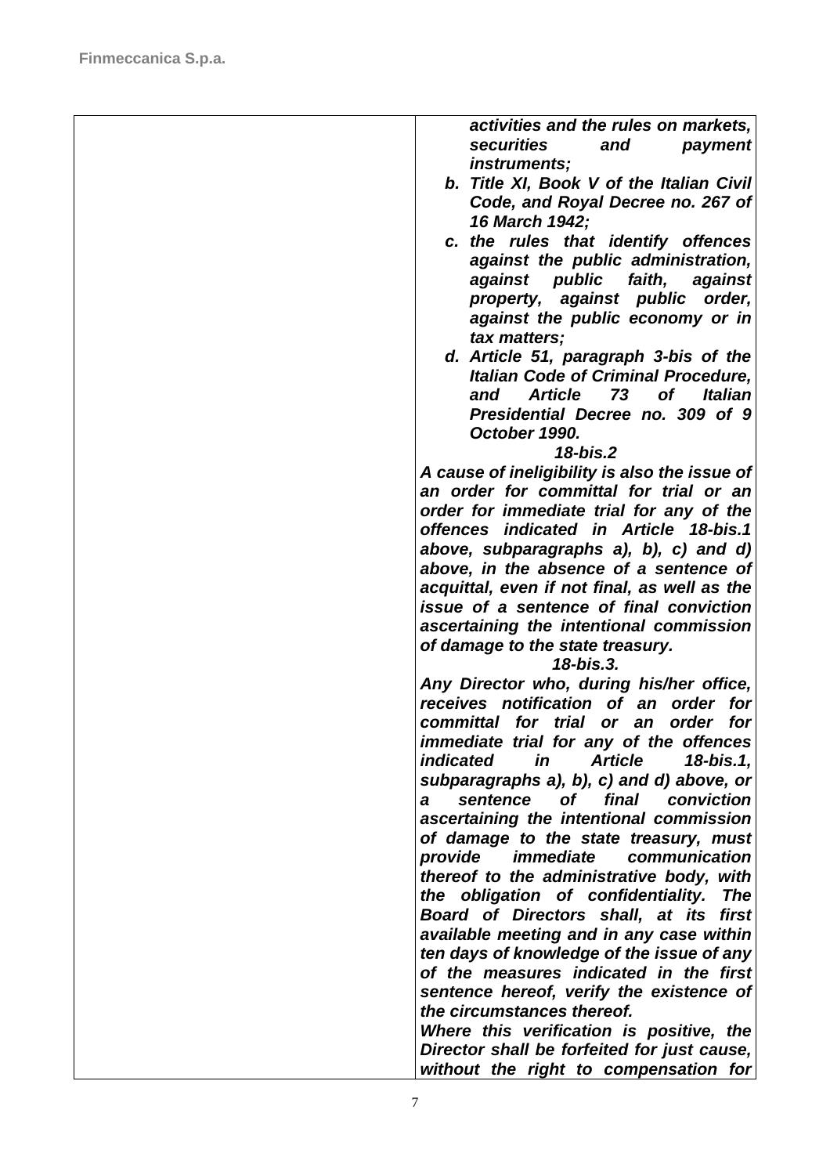| activities and the rules on markets,<br>securities<br>and<br>payment                      |
|-------------------------------------------------------------------------------------------|
| instruments;                                                                              |
| b. Title XI, Book V of the Italian Civil                                                  |
| Code, and Royal Decree no. 267 of                                                         |
| 16 March 1942;                                                                            |
| c. the rules that identify offences                                                       |
| against the public administration,                                                        |
| against public<br>faith,<br>against                                                       |
| property, against public order,                                                           |
| against the public economy or in                                                          |
| tax matters;                                                                              |
| d. Article 51, paragraph 3-bis of the                                                     |
| <b>Italian Code of Criminal Procedure,</b>                                                |
| of<br><b>Article</b><br>73<br><b>Italian</b><br>and                                       |
| Presidential Decree no. 309 of 9                                                          |
| October 1990.<br>$18 - bis.2$                                                             |
| A cause of ineligibility is also the issue of                                             |
| an order for committal for trial or an                                                    |
| order for immediate trial for any of the                                                  |
| offences indicated in Article 18-bis.1                                                    |
| above, subparagraphs a), b), c) and d)                                                    |
| above, in the absence of a sentence of                                                    |
| acquittal, even if not final, as well as the                                              |
| issue of a sentence of final conviction                                                   |
| ascertaining the intentional commission                                                   |
| of damage to the state treasury.                                                          |
| 18-bis.3.                                                                                 |
| Any Director who, during his/her office,                                                  |
| receives notification of an order for                                                     |
| committal for trial<br>order<br>for<br>or an                                              |
| immediate trial for any of the offences                                                   |
| <i>indicated</i><br><b>Article</b><br>in<br>18-bis.1,                                     |
| subparagraphs a), b), c) and d) above, or<br>final<br>sentence<br>conviction<br><b>of</b> |
| a<br>ascertaining the intentional commission                                              |
| of damage to the state treasury, must                                                     |
| <i>immediate</i><br>communication<br>provide                                              |
| thereof to the administrative body, with                                                  |
| the obligation of confidentiality.<br><b>The</b>                                          |
| Board of Directors shall, at its<br>first                                                 |
| available meeting and in any case within                                                  |
| ten days of knowledge of the issue of any                                                 |
| of the measures indicated in the first                                                    |
| sentence hereof, verify the existence of                                                  |
| the circumstances thereof.                                                                |
| Where this verification is positive, the                                                  |
| Director shall be forfeited for just cause,                                               |
| without the right to compensation for                                                     |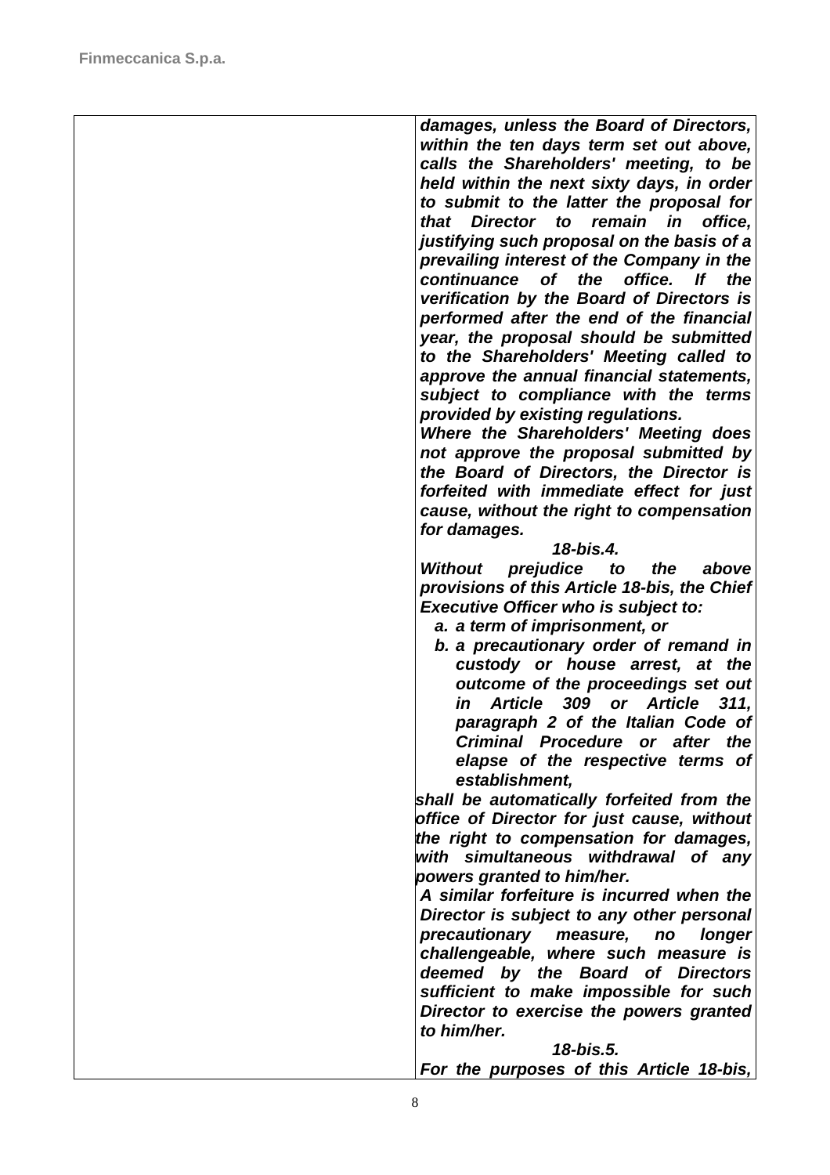| damages, unless the Board of Directors,        |
|------------------------------------------------|
| within the ten days term set out above,        |
| calls the Shareholders' meeting, to be         |
| held within the next sixty days, in order      |
| to submit to the latter the proposal for       |
| that<br>Director to<br>remain<br>in<br>office, |
| justifying such proposal on the basis of a     |
| prevailing interest of the Company in the      |
| the<br>office.<br>lf<br>the                    |
| continuance of                                 |
| verification by the Board of Directors is      |
| performed after the end of the financial       |
| year, the proposal should be submitted         |
| to the Shareholders' Meeting called to         |
| approve the annual financial statements,       |
| subject to compliance with the terms           |
| provided by existing regulations.              |
| Where the Shareholders' Meeting does           |
| not approve the proposal submitted by          |
| the Board of Directors, the Director is        |
| forfeited with immediate effect for just       |
| cause, without the right to compensation       |
| for damages.                                   |
| 18-bis.4.                                      |
| Without prejudice to the<br>above              |
| provisions of this Article 18-bis, the Chief   |
|                                                |
| <b>Executive Officer who is subject to:</b>    |
| a. a term of imprisonment, or                  |
| b. a precautionary order of remand in          |
| custody or house arrest, at the                |
| outcome of the proceedings set out             |
| Article 309 or Article<br>in<br>311,           |
| paragraph 2 of the Italian Code of             |
| Criminal Procedure or after the                |
| elapse of the respective terms of              |
| establishment,                                 |
| shall be automatically forfeited from the      |
| office of Director for just cause, without     |
| the right to compensation for damages,         |
| with simultaneous withdrawal of any            |
| powers granted to him/her.                     |
| A similar forfeiture is incurred when the      |
| Director is subject to any other personal      |
| precautionary measure, no<br>longer            |
| challengeable, where such measure is           |
|                                                |
| deemed by the Board of Directors               |
| sufficient to make impossible for such         |
| Director to exercise the powers granted        |
| to him/her.                                    |
| 18-bis.5.                                      |
| For the purposes of this Article 18-bis,       |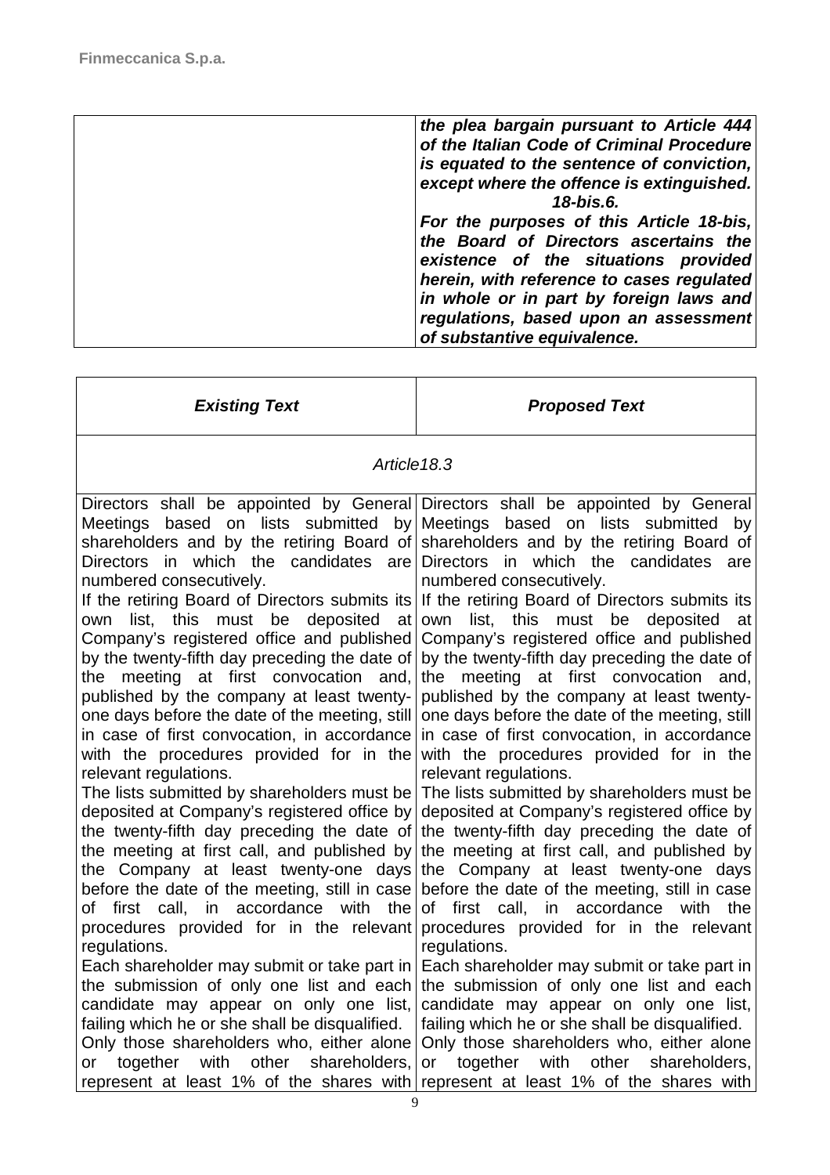$\blacksquare$ 

| the plea bargain pursuant to Article 444<br>of the Italian Code of Criminal Procedure<br>is equated to the sentence of conviction,<br>except where the offence is extinguished. |
|---------------------------------------------------------------------------------------------------------------------------------------------------------------------------------|
| 18-bis.6.<br>For the purposes of this Article 18-bis,                                                                                                                           |
| the Board of Directors ascertains the<br>existence of the situations provided                                                                                                   |
| herein, with reference to cases regulated<br>in whole or in part by foreign laws and                                                                                            |
| regulations, based upon an assessment                                                                                                                                           |
| of substantive equivalence.                                                                                                                                                     |

| <b>Existing Text</b>                                                                                                                                                                                                                                                                                                                                                                                                                                                                                                                                                                                                                                                                                                                                                                                                                                                                                                                                                                                                                                                                                                        | <b>Proposed Text</b>                                                                                                                                                                                                                                                                                                                                                                                                                                                                                                                                                                                                                                                                                                                                                                                                                                                                                                                                                                                                                                                                                                                                                                                                                                                                                                                                                                                                                    |
|-----------------------------------------------------------------------------------------------------------------------------------------------------------------------------------------------------------------------------------------------------------------------------------------------------------------------------------------------------------------------------------------------------------------------------------------------------------------------------------------------------------------------------------------------------------------------------------------------------------------------------------------------------------------------------------------------------------------------------------------------------------------------------------------------------------------------------------------------------------------------------------------------------------------------------------------------------------------------------------------------------------------------------------------------------------------------------------------------------------------------------|-----------------------------------------------------------------------------------------------------------------------------------------------------------------------------------------------------------------------------------------------------------------------------------------------------------------------------------------------------------------------------------------------------------------------------------------------------------------------------------------------------------------------------------------------------------------------------------------------------------------------------------------------------------------------------------------------------------------------------------------------------------------------------------------------------------------------------------------------------------------------------------------------------------------------------------------------------------------------------------------------------------------------------------------------------------------------------------------------------------------------------------------------------------------------------------------------------------------------------------------------------------------------------------------------------------------------------------------------------------------------------------------------------------------------------------------|
| Article 18.3                                                                                                                                                                                                                                                                                                                                                                                                                                                                                                                                                                                                                                                                                                                                                                                                                                                                                                                                                                                                                                                                                                                |                                                                                                                                                                                                                                                                                                                                                                                                                                                                                                                                                                                                                                                                                                                                                                                                                                                                                                                                                                                                                                                                                                                                                                                                                                                                                                                                                                                                                                         |
| Meetings based on lists submitted by Meetings based on lists submitted<br>Directors in which the candidates are<br>numbered consecutively.<br>list, this must be deposited at<br>own<br>Company's registered office and published<br>by the twenty-fifth day preceding the date of<br>the meeting at first convocation and,<br>published by the company at least twenty-<br>one days before the date of the meeting, still<br>in case of first convocation, in accordance<br>with the procedures provided for in the<br>relevant regulations.<br>The lists submitted by shareholders must be<br>deposited at Company's registered office by<br>the meeting at first call, and published by<br>the Company at least twenty-one days<br>before the date of the meeting, still in case<br>of first call, in accordance with the<br>procedures provided for in the relevant<br>regulations.<br>Each shareholder may submit or take part in<br>the submission of only one list and each<br>candidate may appear on only one list,<br>failing which he or she shall be disqualified.<br>Only those shareholders who, either alone | Directors shall be appointed by General Directors shall be appointed by General<br>by<br>shareholders and by the retiring Board of shareholders and by the retiring Board of<br>Directors in which the candidates<br>are<br>numbered consecutively.<br>If the retiring Board of Directors submits its If the retiring Board of Directors submits its<br>own<br>list, this must be<br>deposited<br>at<br>Company's registered office and published<br>by the twenty-fifth day preceding the date of<br>the meeting at first convocation and,<br>published by the company at least twenty-<br>one days before the date of the meeting, still<br>in case of first convocation, in accordance<br>with the procedures provided for in the<br>relevant regulations.<br>The lists submitted by shareholders must be<br>deposited at Company's registered office by<br>the twenty-fifth day preceding the date of the twenty-fifth day preceding the date of<br>the meeting at first call, and published by<br>the Company at least twenty-one days<br>before the date of the meeting, still in case<br>of first call, in accordance with<br>the<br>procedures provided for in the relevant<br>regulations.<br>Each shareholder may submit or take part in<br>the submission of only one list and each<br>candidate may appear on only one list,<br>failing which he or she shall be disqualified.<br>Only those shareholders who, either alone |
| together with<br>other<br>shareholders,<br>or<br>represent at least 1% of the shares with                                                                                                                                                                                                                                                                                                                                                                                                                                                                                                                                                                                                                                                                                                                                                                                                                                                                                                                                                                                                                                   | with<br>other<br>together<br>shareholders,<br>or<br>represent at least 1% of the shares with                                                                                                                                                                                                                                                                                                                                                                                                                                                                                                                                                                                                                                                                                                                                                                                                                                                                                                                                                                                                                                                                                                                                                                                                                                                                                                                                            |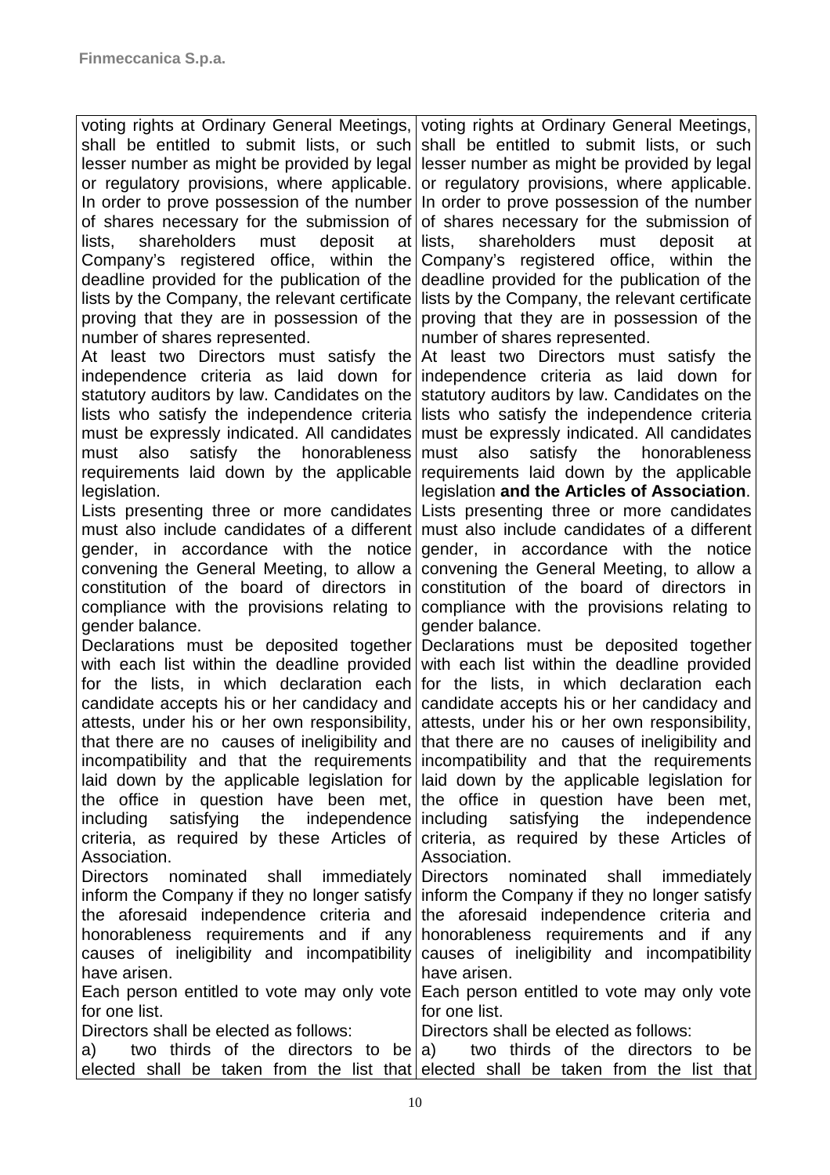| voting rights at Ordinary General Meetings,                       | voting rights at Ordinary General Meetings,                                                             |
|-------------------------------------------------------------------|---------------------------------------------------------------------------------------------------------|
| shall be entitled to submit lists, or such                        | shall be entitled to submit lists, or such                                                              |
| lesser number as might be provided by legal                       | lesser number as might be provided by legal                                                             |
| or regulatory provisions, where applicable.                       | or regulatory provisions, where applicable.                                                             |
| In order to prove possession of the number                        | In order to prove possession of the number                                                              |
|                                                                   | of shares necessary for the submission of of shares necessary for the submission of                     |
| shareholders must deposit<br>lists,                               | at lists, shareholders must<br>deposit<br>at                                                            |
| Company's registered office, within the                           | Company's registered office, within the                                                                 |
|                                                                   | deadline provided for the publication of the deadline provided for the publication of the               |
|                                                                   | lists by the Company, the relevant certificate lists by the Company, the relevant certificate           |
| proving that they are in possession of the                        | proving that they are in possession of the                                                              |
| number of shares represented.                                     | number of shares represented.                                                                           |
|                                                                   | At least two Directors must satisfy the At least two Directors must satisfy the                         |
|                                                                   | independence criteria as laid down for independence criteria as laid down for                           |
|                                                                   | statutory auditors by law. Candidates on the statutory auditors by law. Candidates on the               |
|                                                                   | lists who satisfy the independence criteria lists who satisfy the independence criteria                 |
|                                                                   | must be expressly indicated. All candidates must be expressly indicated. All candidates                 |
| honorableness<br>also<br>satisfy the<br>must                      | must also<br>satisfy the<br>honorableness                                                               |
|                                                                   | requirements laid down by the applicable requirements laid down by the applicable                       |
| legislation.                                                      | legislation and the Articles of Association.                                                            |
| Lists presenting three or more candidates                         | Lists presenting three or more candidates                                                               |
| must also include candidates of a different                       | must also include candidates of a different                                                             |
| gender, in accordance with the notice                             | gender, in accordance with the notice                                                                   |
| convening the General Meeting, to allow a                         | convening the General Meeting, to allow a                                                               |
| constitution of the board of directors in                         | constitution of the board of directors in                                                               |
| compliance with the provisions relating to                        | compliance with the provisions relating to                                                              |
| gender balance.                                                   | gender balance.                                                                                         |
|                                                                   | Declarations must be deposited together Declarations must be deposited together                         |
|                                                                   | with each list within the deadline provided with each list within the deadline provided                 |
|                                                                   | for the lists, in which declaration each for the lists, in which declaration each                       |
|                                                                   | candidate accepts his or her candidacy and candidate accepts his or her candidacy and                   |
| attests, under his or her own responsibility,                     | attests, under his or her own responsibility,                                                           |
|                                                                   | that there are no causes of ineligibility and that there are no causes of ineligibility and             |
|                                                                   | incompatibility and that the requirements incompatibility and that the requirements                     |
|                                                                   | laid down by the applicable legislation for laid down by the applicable legislation for                 |
|                                                                   | the office in question have been met, the office in question have been met,                             |
| satisfying the independence including satisfying the<br>including | independence                                                                                            |
|                                                                   | criteria, as required by these Articles of criteria, as required by these Articles of                   |
| Association.                                                      | Association.                                                                                            |
| Directors nominated shall immediately Directors nominated shall   | immediately                                                                                             |
|                                                                   | inform the Company if they no longer satisfy inform the Company if they no longer satisfy               |
|                                                                   | the aforesaid independence criteria and the aforesaid independence criteria and                         |
|                                                                   | honorableness requirements and if any honorableness requirements and if any                             |
| have arisen.                                                      | causes of ineligibility and incompatibility causes of ineligibility and incompatibility<br>have arisen. |
|                                                                   |                                                                                                         |
| for one list.                                                     | Each person entitled to vote may only vote Each person entitled to vote may only vote<br>for one list.  |
| Directors shall be elected as follows:                            | Directors shall be elected as follows:                                                                  |
| a) a                                                              | two thirds of the directors to be a) two thirds of the directors to be                                  |
|                                                                   | elected shall be taken from the list that elected shall be taken from the list that                     |
|                                                                   |                                                                                                         |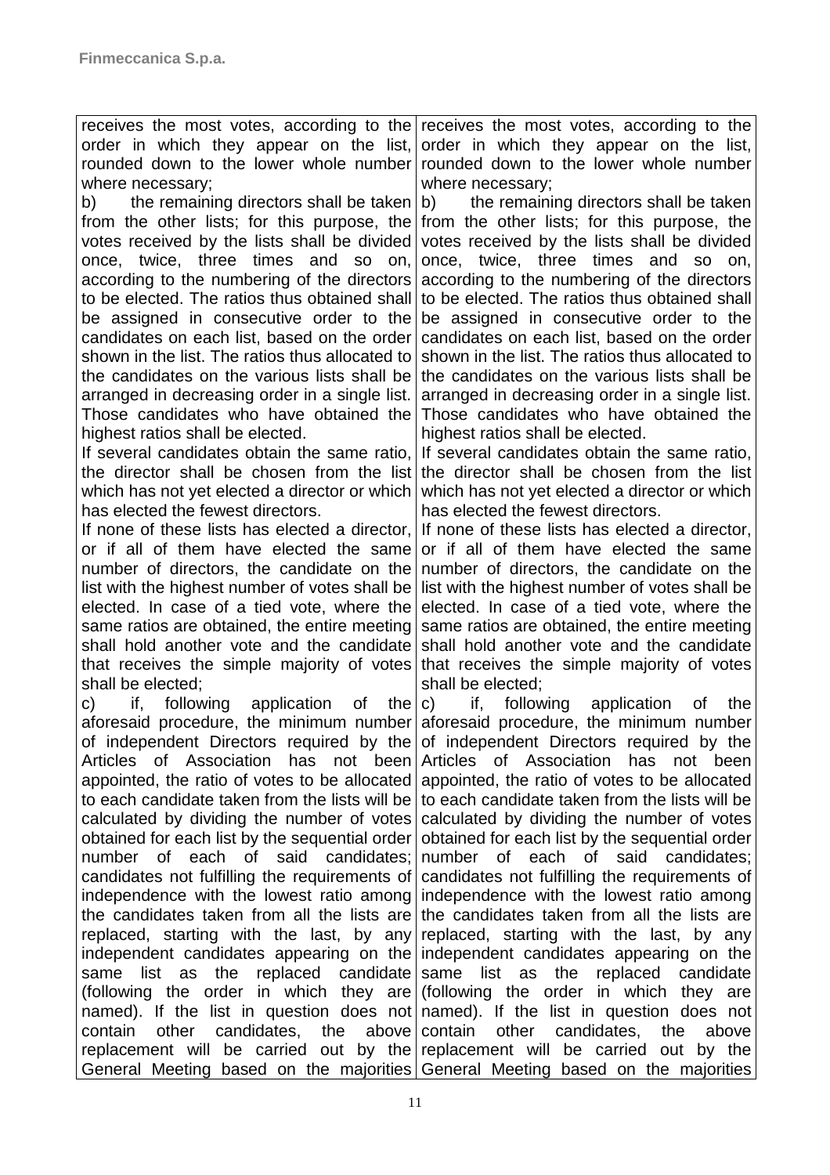receives the most votes, according to the order in which they appear on the list, rounded down to the lower whole number where necessary;

b) the remaining directors shall be taken from the other lists; for this purpose, the votes received by the lists shall be divided once, twice, three times and so on, according to the numbering of the directors to be elected. The ratios thus obtained shall be assigned in consecutive order to the candidates on each list, based on the order shown in the list. The ratios thus allocated to the candidates on the various lists shall be arranged in decreasing order in a single list. Those candidates who have obtained the highest ratios shall be elected.

If several candidates obtain the same ratio, the director shall be chosen from the list which has not yet elected a director or which which has not yet elected a director or which has elected the fewest directors.

If none of these lists has elected a director, or if all of them have elected the same number of directors, the candidate on the list with the highest number of votes shall be elected. In case of a tied vote, where the same ratios are obtained, the entire meeting shall hold another vote and the candidate that receives the simple majority of votes shall be elected;

c) if, following application of the aforesaid procedure, the minimum number of independent Directors required by the Articles of Association has not been appointed, the ratio of votes to be allocated to each candidate taken from the lists will be calculated by dividing the number of votes obtained for each list by the sequential order number of each of said candidates; candidates not fulfilling the requirements of independence with the lowest ratio among the candidates taken from all the lists are replaced, starting with the last, by any independent candidates appearing on the same list as the replaced candidate (following the order in which they are named). If the list in question does not contain other candidates, the replacement will be carried out by the replacement will be carried out by the General Meeting based on the majorities General Meeting based on the majorities

receives the most votes, according to the order in which they appear on the list, rounded down to the lower whole number where necessary;

b) the remaining directors shall be taken from the other lists; for this purpose, the votes received by the lists shall be divided once, twice, three times and so on, according to the numbering of the directors to be elected. The ratios thus obtained shall be assigned in consecutive order to the candidates on each list, based on the order shown in the list. The ratios thus allocated to the candidates on the various lists shall be arranged in decreasing order in a single list. Those candidates who have obtained the highest ratios shall be elected.

If several candidates obtain the same ratio, the director shall be chosen from the list has elected the fewest directors.

If none of these lists has elected a director, or if all of them have elected the same number of directors, the candidate on the list with the highest number of votes shall be elected. In case of a tied vote, where the same ratios are obtained, the entire meeting shall hold another vote and the candidate that receives the simple majority of votes shall be elected;

c) if, following application of the aforesaid procedure, the minimum number of independent Directors required by the Articles of Association has not been appointed, the ratio of votes to be allocated to each candidate taken from the lists will be calculated by dividing the number of votes obtained for each list by the sequential order number of each of said candidates; candidates not fulfilling the requirements of independence with the lowest ratio among the candidates taken from all the lists are replaced, starting with the last, by any independent candidates appearing on the same list as the replaced candidate (following the order in which they are named). If the list in question does not above contain other candidates, the above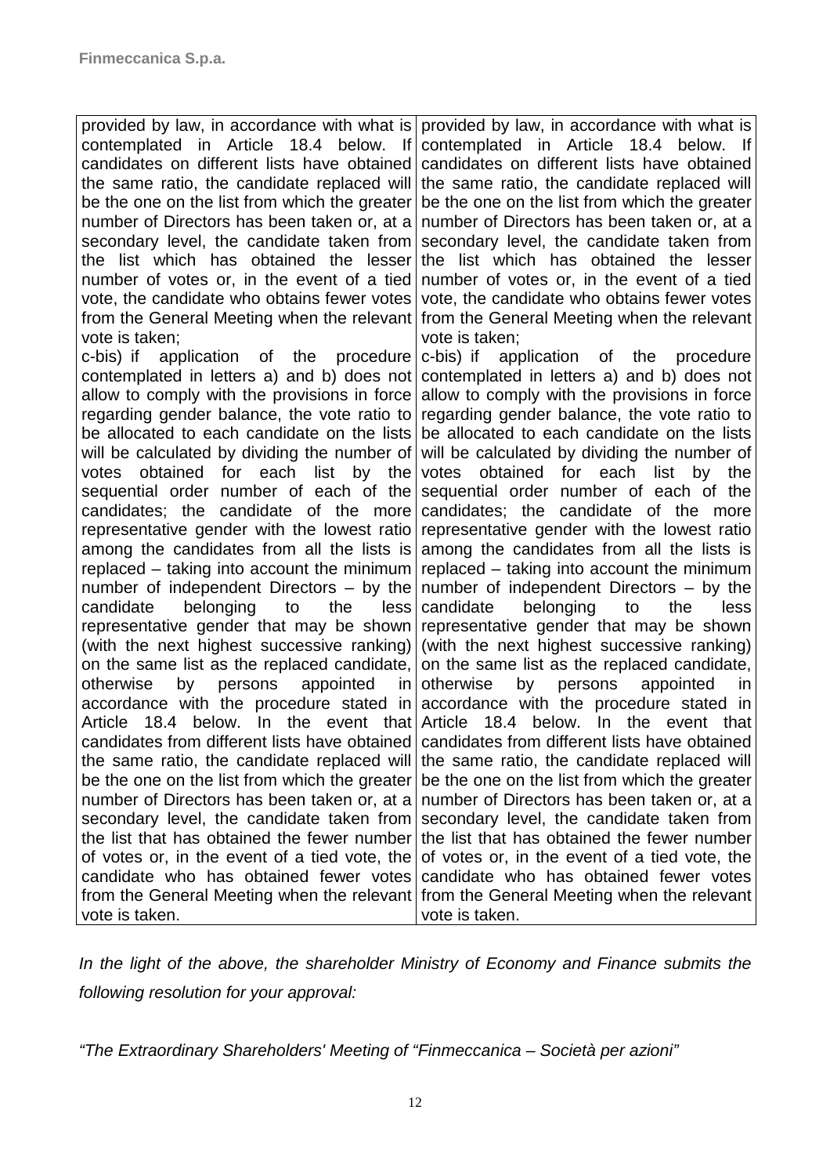provided by law, in accordance with what is contemplated in Article 18.4 below. candidates on different lists have obtained the same ratio, the candidate replaced will be the one on the list from which the greater number of Directors has been taken or, at a secondary level, the candidate taken from the list which has obtained the lesser number of votes or, in the event of a tied vote, the candidate who obtains fewer votes from the General Meeting when the relevant from the General Meeting when the relevant vote is taken; c-bis) if application of the procedure contemplated in letters a) and b) does not allow to comply with the provisions in force regarding gender balance, the vote ratio to be allocated to each candidate on the lists will be calculated by dividing the number of votes obtained for each list by the sequential order number of each of the candidates; the candidate of the more representative gender with the lowest ratio among the candidates from all the lists is replaced – taking into account the minimum number of independent Directors – by the candidate belonging to the less representative gender that may be shown (with the next highest successive ranking) on the same list as the replaced candidate, otherwise by persons appointed in accordance with the procedure stated in Article 18.4 below. In the event that candidates from different lists have obtained the same ratio, the candidate replaced will be the one on the list from which the greater number of Directors has been taken or, at a secondary level, the candidate taken from the list that has obtained the fewer number of votes or, in the event of a tied vote, the candidate who has obtained fewer votes from the General Meeting when the relevant from the General Meeting when the relevant vote is taken. provided by law, in accordance with what is contemplated in Article 18.4 below. If candidates on different lists have obtained the same ratio, the candidate replaced will be the one on the list from which the greater number of Directors has been taken or, at a secondary level, the candidate taken from the list which has obtained the lesser number of votes or, in the event of a tied vote, the candidate who obtains fewer votes vote is taken; c-bis) if application of the procedure contemplated in letters a) and b) does not allow to comply with the provisions in force regarding gender balance, the vote ratio to be allocated to each candidate on the lists will be calculated by dividing the number of votes obtained for each list by the sequential order number of each of the candidates; the candidate of the more representative gender with the lowest ratio among the candidates from all the lists is replaced – taking into account the minimum number of independent Directors – by the candidate belonging to the less representative gender that may be shown (with the next highest successive ranking) on the same list as the replaced candidate, otherwise by persons appointed in accordance with the procedure stated in Article 18.4 below. In the event that candidates from different lists have obtained the same ratio, the candidate replaced will be the one on the list from which the greater number of Directors has been taken or, at a secondary level, the candidate taken from the list that has obtained the fewer number of votes or, in the event of a tied vote, the candidate who has obtained fewer votes vote is taken.

In the light of the above, the shareholder Ministry of Economy and Finance submits the following resolution for your approval:

"The Extraordinary Shareholders' Meeting of "Finmeccanica – Società per azioni"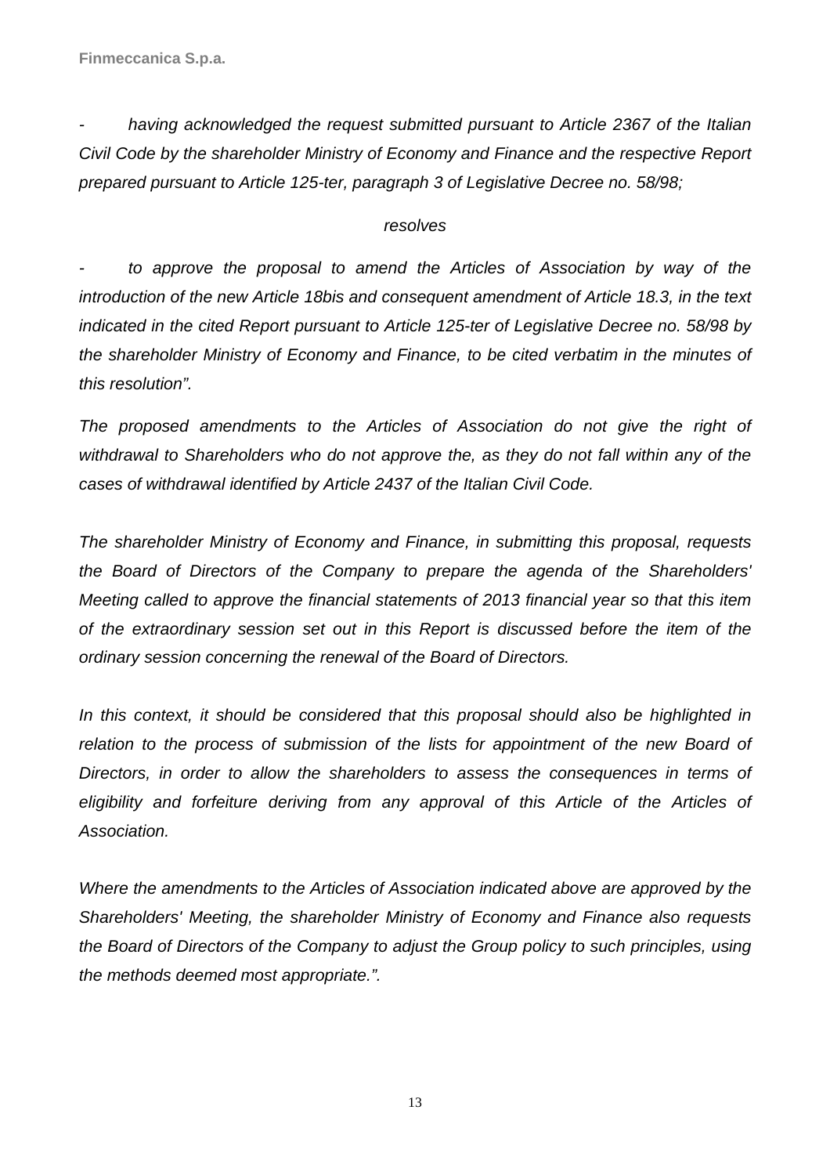having acknowledged the request submitted pursuant to Article 2367 of the Italian Civil Code by the shareholder Ministry of Economy and Finance and the respective Report prepared pursuant to Article 125-ter, paragraph 3 of Legislative Decree no. 58/98;

### resolves

to approve the proposal to amend the Articles of Association by way of the introduction of the new Article 18bis and consequent amendment of Article 18.3, in the text indicated in the cited Report pursuant to Article 125-ter of Legislative Decree no. 58/98 by the shareholder Ministry of Economy and Finance, to be cited verbatim in the minutes of this resolution".

The proposed amendments to the Articles of Association do not give the right of withdrawal to Shareholders who do not approve the, as they do not fall within any of the cases of withdrawal identified by Article 2437 of the Italian Civil Code.

The shareholder Ministry of Economy and Finance, in submitting this proposal, requests the Board of Directors of the Company to prepare the agenda of the Shareholders' Meeting called to approve the financial statements of 2013 financial year so that this item of the extraordinary session set out in this Report is discussed before the item of the ordinary session concerning the renewal of the Board of Directors.

In this context, it should be considered that this proposal should also be highlighted in relation to the process of submission of the lists for appointment of the new Board of Directors, in order to allow the shareholders to assess the consequences in terms of eligibility and forfeiture deriving from any approval of this Article of the Articles of Association.

Where the amendments to the Articles of Association indicated above are approved by the Shareholders' Meeting, the shareholder Ministry of Economy and Finance also requests the Board of Directors of the Company to adjust the Group policy to such principles, using the methods deemed most appropriate.".

13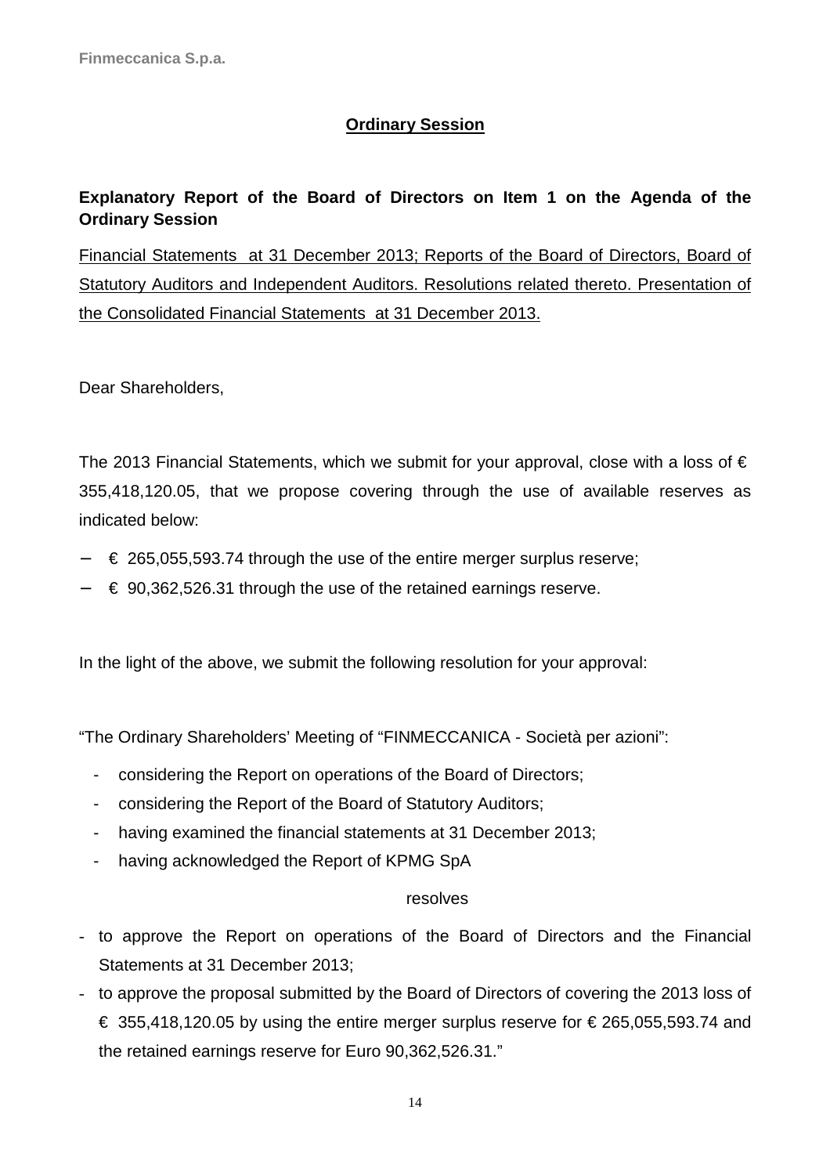### **Ordinary Session**

### **Explanatory Report of the Board of Directors on Item 1 on the Agenda of the Ordinary Session**

Financial Statements at 31 December 2013; Reports of the Board of Directors, Board of Statutory Auditors and Independent Auditors. Resolutions related thereto. Presentation of the Consolidated Financial Statements at 31 December 2013.

Dear Shareholders,

The 2013 Financial Statements, which we submit for your approval, close with a loss of  $\epsilon$ 355,418,120.05, that we propose covering through the use of available reserves as indicated below:

- − € 265,055,593.74 through the use of the entire merger surplus reserve;
- − € 90,362,526.31 through the use of the retained earnings reserve.

In the light of the above, we submit the following resolution for your approval:

"The Ordinary Shareholders' Meeting of "FINMECCANICA - Società per azioni":

- considering the Report on operations of the Board of Directors;
- considering the Report of the Board of Statutory Auditors;
- having examined the financial statements at 31 December 2013;
- having acknowledged the Report of KPMG SpA

### resolves

- to approve the Report on operations of the Board of Directors and the Financial Statements at 31 December 2013;
- to approve the proposal submitted by the Board of Directors of covering the 2013 loss of  $\epsilon$  355,418,120.05 by using the entire merger surplus reserve for  $\epsilon$  265,055,593.74 and the retained earnings reserve for Euro 90,362,526.31."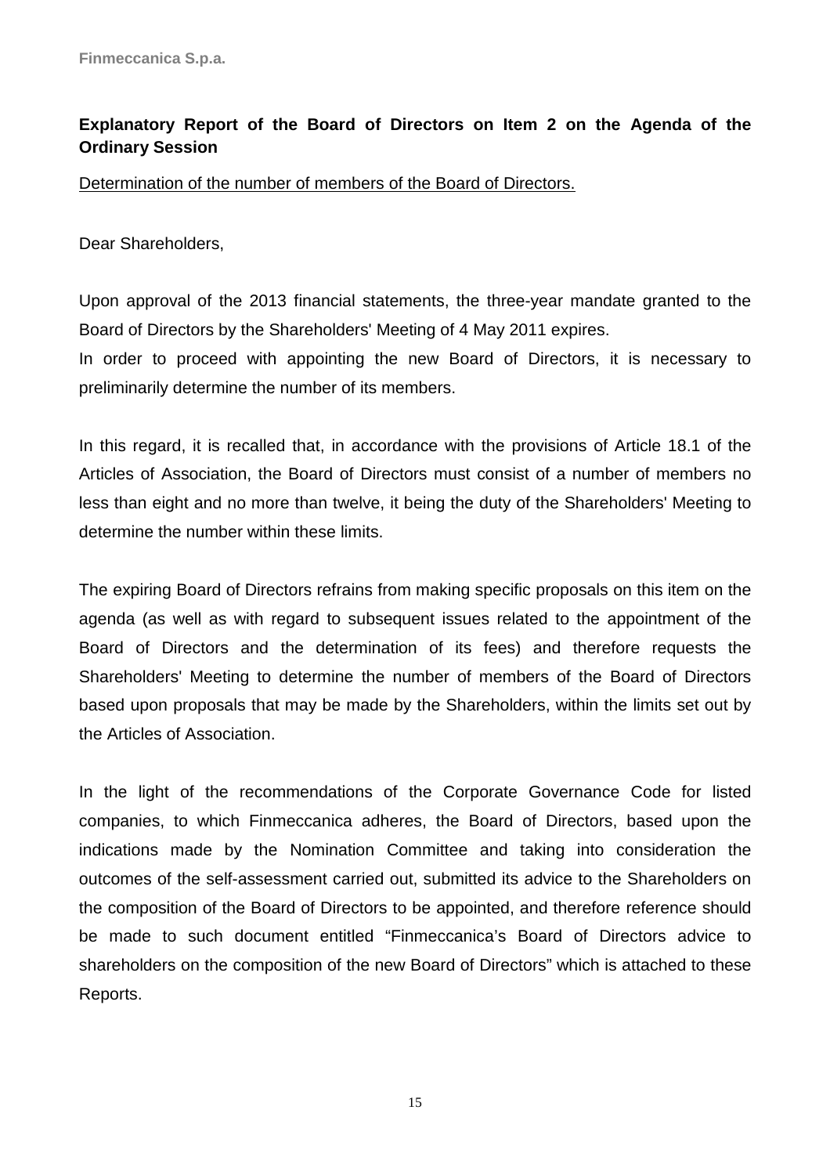### **Explanatory Report of the Board of Directors on Item 2 on the Agenda of the Ordinary Session**

Determination of the number of members of the Board of Directors.

Dear Shareholders,

Upon approval of the 2013 financial statements, the three-year mandate granted to the Board of Directors by the Shareholders' Meeting of 4 May 2011 expires.

In order to proceed with appointing the new Board of Directors, it is necessary to preliminarily determine the number of its members.

In this regard, it is recalled that, in accordance with the provisions of Article 18.1 of the Articles of Association, the Board of Directors must consist of a number of members no less than eight and no more than twelve, it being the duty of the Shareholders' Meeting to determine the number within these limits.

The expiring Board of Directors refrains from making specific proposals on this item on the agenda (as well as with regard to subsequent issues related to the appointment of the Board of Directors and the determination of its fees) and therefore requests the Shareholders' Meeting to determine the number of members of the Board of Directors based upon proposals that may be made by the Shareholders, within the limits set out by the Articles of Association.

In the light of the recommendations of the Corporate Governance Code for listed companies, to which Finmeccanica adheres, the Board of Directors, based upon the indications made by the Nomination Committee and taking into consideration the outcomes of the self-assessment carried out, submitted its advice to the Shareholders on the composition of the Board of Directors to be appointed, and therefore reference should be made to such document entitled "Finmeccanica's Board of Directors advice to shareholders on the composition of the new Board of Directors" which is attached to these Reports.

15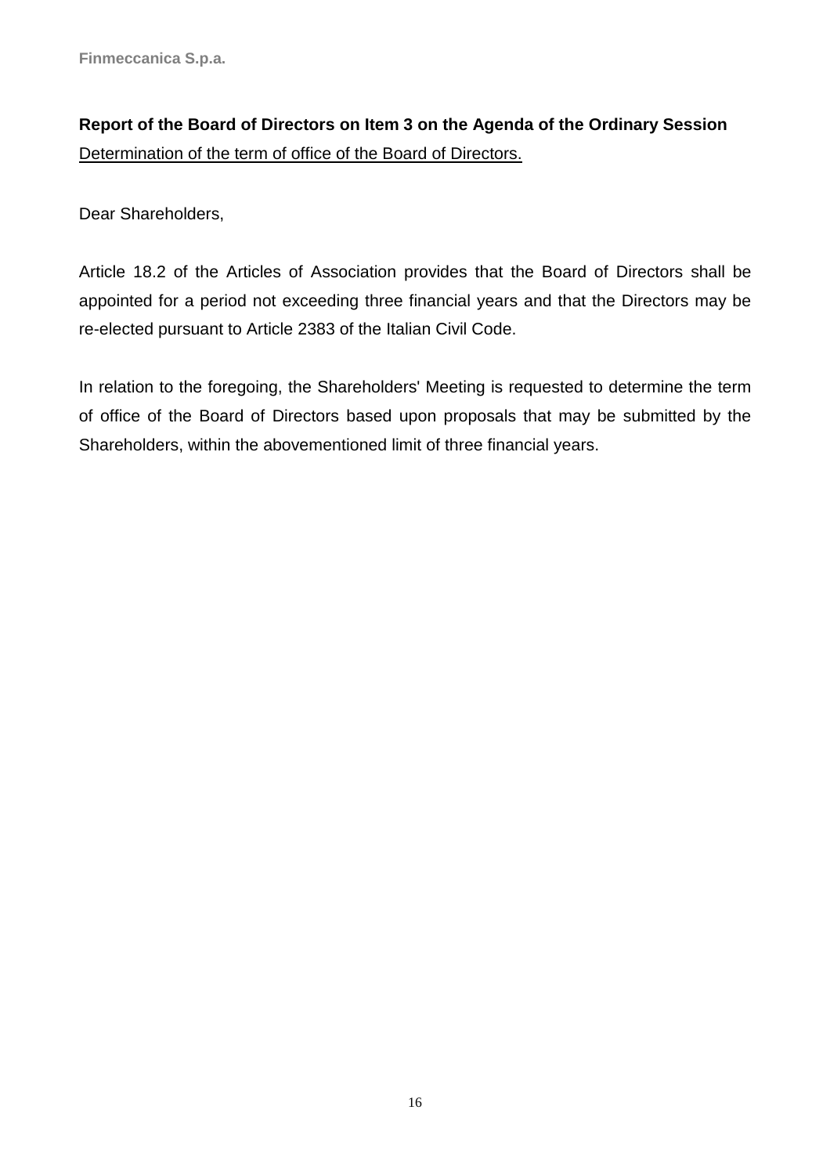# **Report of the Board of Directors on Item 3 on the Agenda of the Ordinary Session**  Determination of the term of office of the Board of Directors.

Dear Shareholders,

Article 18.2 of the Articles of Association provides that the Board of Directors shall be appointed for a period not exceeding three financial years and that the Directors may be re-elected pursuant to Article 2383 of the Italian Civil Code.

In relation to the foregoing, the Shareholders' Meeting is requested to determine the term of office of the Board of Directors based upon proposals that may be submitted by the Shareholders, within the abovementioned limit of three financial years.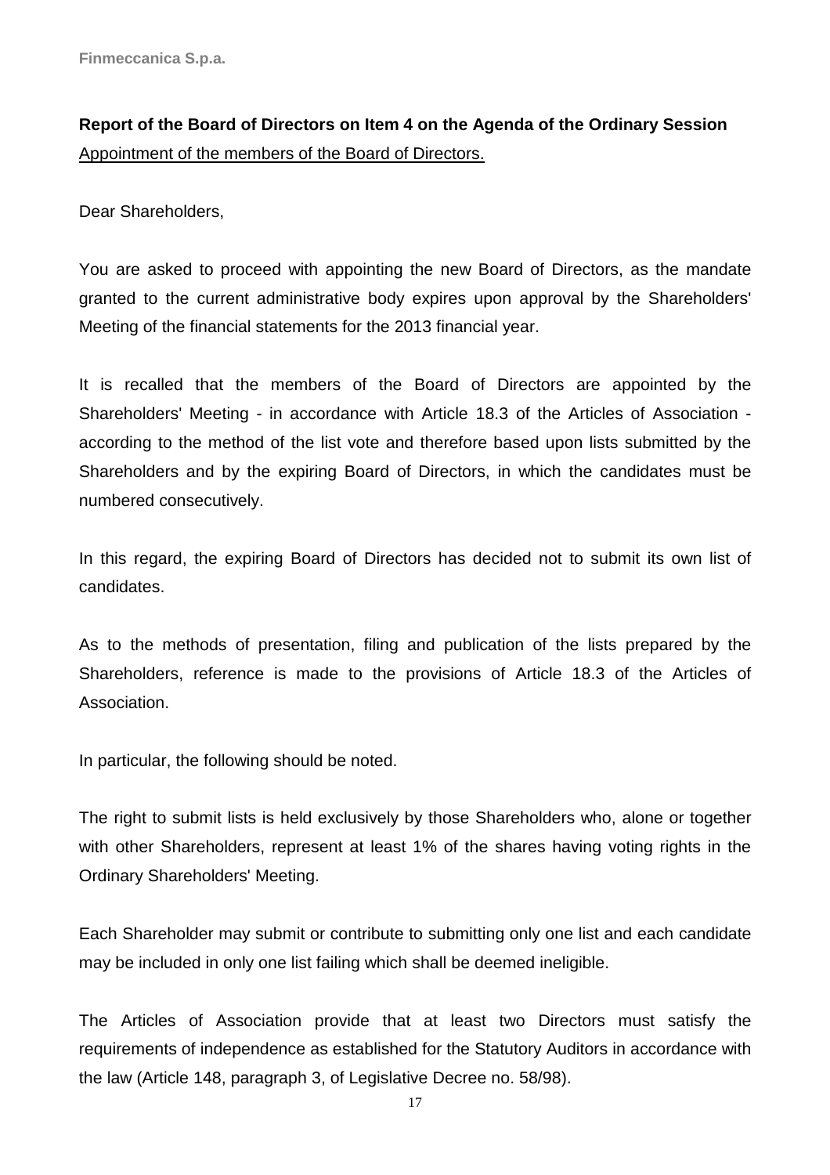**Report of the Board of Directors on Item 4 on the Agenda of the Ordinary Session**  Appointment of the members of the Board of Directors.

Dear Shareholders,

You are asked to proceed with appointing the new Board of Directors, as the mandate granted to the current administrative body expires upon approval by the Shareholders' Meeting of the financial statements for the 2013 financial year.

It is recalled that the members of the Board of Directors are appointed by the Shareholders' Meeting - in accordance with Article 18.3 of the Articles of Association according to the method of the list vote and therefore based upon lists submitted by the Shareholders and by the expiring Board of Directors, in which the candidates must be numbered consecutively.

In this regard, the expiring Board of Directors has decided not to submit its own list of candidates.

As to the methods of presentation, filing and publication of the lists prepared by the Shareholders, reference is made to the provisions of Article 18.3 of the Articles of Association.

In particular, the following should be noted.

The right to submit lists is held exclusively by those Shareholders who, alone or together with other Shareholders, represent at least 1% of the shares having voting rights in the Ordinary Shareholders' Meeting.

Each Shareholder may submit or contribute to submitting only one list and each candidate may be included in only one list failing which shall be deemed ineligible.

The Articles of Association provide that at least two Directors must satisfy the requirements of independence as established for the Statutory Auditors in accordance with the law (Article 148, paragraph 3, of Legislative Decree no. 58/98).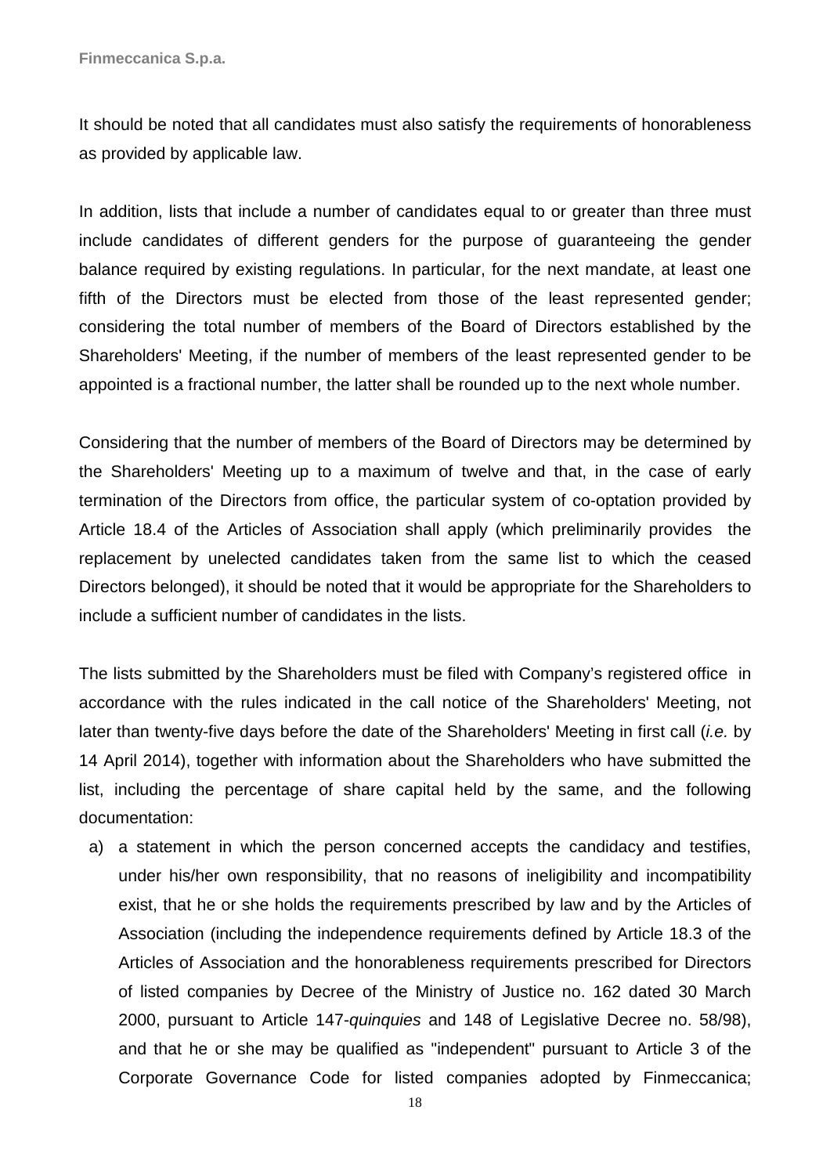It should be noted that all candidates must also satisfy the requirements of honorableness as provided by applicable law.

In addition, lists that include a number of candidates equal to or greater than three must include candidates of different genders for the purpose of guaranteeing the gender balance required by existing regulations. In particular, for the next mandate, at least one fifth of the Directors must be elected from those of the least represented gender; considering the total number of members of the Board of Directors established by the Shareholders' Meeting, if the number of members of the least represented gender to be appointed is a fractional number, the latter shall be rounded up to the next whole number.

Considering that the number of members of the Board of Directors may be determined by the Shareholders' Meeting up to a maximum of twelve and that, in the case of early termination of the Directors from office, the particular system of co-optation provided by Article 18.4 of the Articles of Association shall apply (which preliminarily provides the replacement by unelected candidates taken from the same list to which the ceased Directors belonged), it should be noted that it would be appropriate for the Shareholders to include a sufficient number of candidates in the lists.

The lists submitted by the Shareholders must be filed with Company's registered office in accordance with the rules indicated in the call notice of the Shareholders' Meeting, not later than twenty-five days before the date of the Shareholders' Meeting in first call *(i.e.* by 14 April 2014), together with information about the Shareholders who have submitted the list, including the percentage of share capital held by the same, and the following documentation:

a) a statement in which the person concerned accepts the candidacy and testifies, under his/her own responsibility, that no reasons of ineligibility and incompatibility exist, that he or she holds the requirements prescribed by law and by the Articles of Association (including the independence requirements defined by Article 18.3 of the Articles of Association and the honorableness requirements prescribed for Directors of listed companies by Decree of the Ministry of Justice no. 162 dated 30 March 2000, pursuant to Article 147-quinquies and 148 of Legislative Decree no. 58/98), and that he or she may be qualified as "independent" pursuant to Article 3 of the Corporate Governance Code for listed companies adopted by Finmeccanica;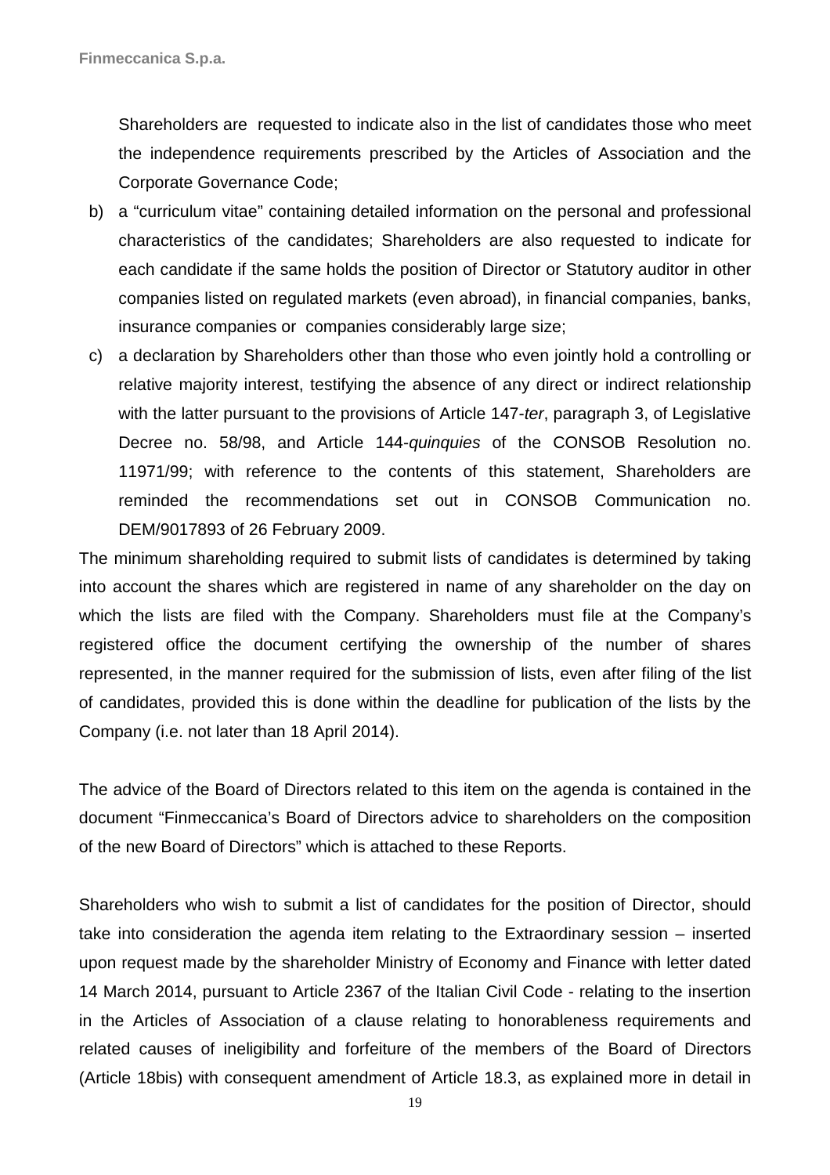Shareholders are requested to indicate also in the list of candidates those who meet the independence requirements prescribed by the Articles of Association and the Corporate Governance Code;

- b) a "curriculum vitae" containing detailed information on the personal and professional characteristics of the candidates; Shareholders are also requested to indicate for each candidate if the same holds the position of Director or Statutory auditor in other companies listed on regulated markets (even abroad), in financial companies, banks, insurance companies or companies considerably large size;
- c) a declaration by Shareholders other than those who even jointly hold a controlling or relative majority interest, testifying the absence of any direct or indirect relationship with the latter pursuant to the provisions of Article 147-ter, paragraph 3, of Legislative Decree no. 58/98, and Article 144-quinquies of the CONSOB Resolution no. 11971/99; with reference to the contents of this statement, Shareholders are reminded the recommendations set out in CONSOB Communication no. DEM/9017893 of 26 February 2009.

The minimum shareholding required to submit lists of candidates is determined by taking into account the shares which are registered in name of any shareholder on the day on which the lists are filed with the Company. Shareholders must file at the Company's registered office the document certifying the ownership of the number of shares represented, in the manner required for the submission of lists, even after filing of the list of candidates, provided this is done within the deadline for publication of the lists by the Company (i.e. not later than 18 April 2014).

The advice of the Board of Directors related to this item on the agenda is contained in the document "Finmeccanica's Board of Directors advice to shareholders on the composition of the new Board of Directors" which is attached to these Reports.

Shareholders who wish to submit a list of candidates for the position of Director, should take into consideration the agenda item relating to the Extraordinary session – inserted upon request made by the shareholder Ministry of Economy and Finance with letter dated 14 March 2014, pursuant to Article 2367 of the Italian Civil Code - relating to the insertion in the Articles of Association of a clause relating to honorableness requirements and related causes of ineligibility and forfeiture of the members of the Board of Directors (Article 18bis) with consequent amendment of Article 18.3, as explained more in detail in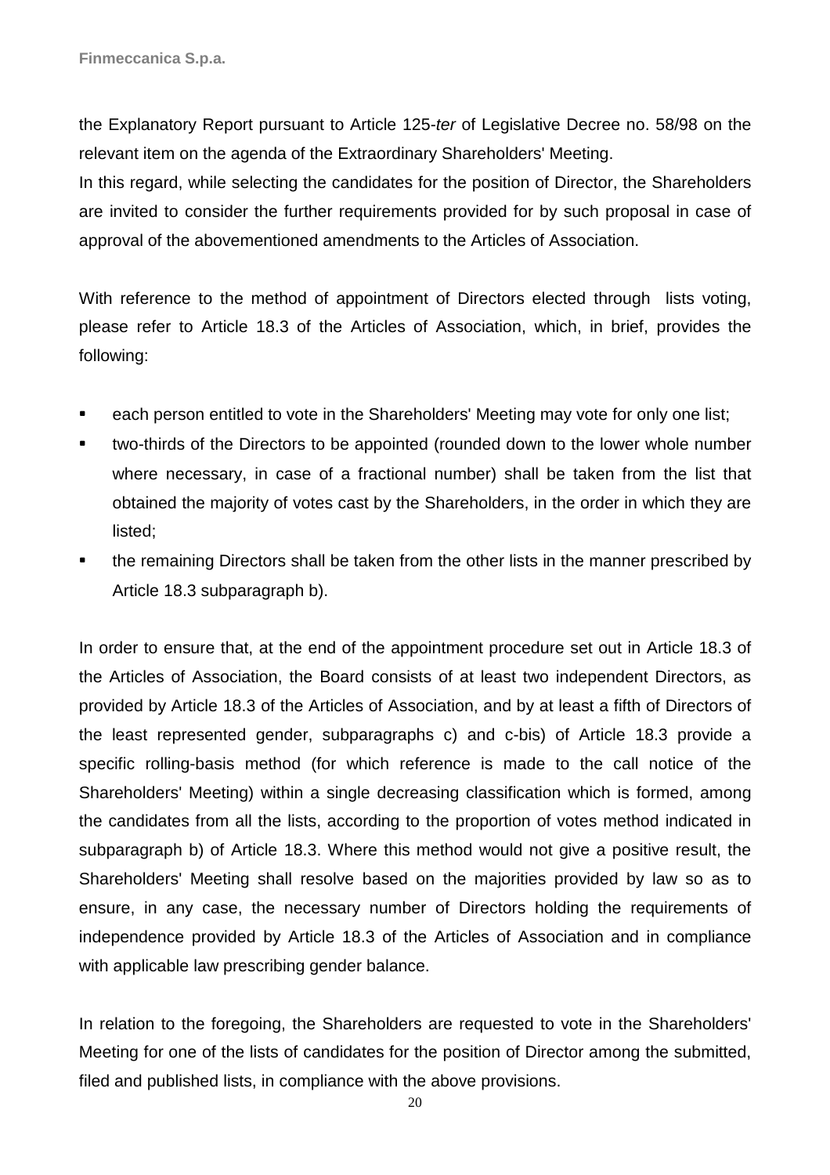the Explanatory Report pursuant to Article 125-ter of Legislative Decree no. 58/98 on the relevant item on the agenda of the Extraordinary Shareholders' Meeting.

In this regard, while selecting the candidates for the position of Director, the Shareholders are invited to consider the further requirements provided for by such proposal in case of approval of the abovementioned amendments to the Articles of Association.

With reference to the method of appointment of Directors elected through lists voting, please refer to Article 18.3 of the Articles of Association, which, in brief, provides the following:

- each person entitled to vote in the Shareholders' Meeting may vote for only one list;
- two-thirds of the Directors to be appointed (rounded down to the lower whole number where necessary, in case of a fractional number) shall be taken from the list that obtained the majority of votes cast by the Shareholders, in the order in which they are listed;
- the remaining Directors shall be taken from the other lists in the manner prescribed by Article 18.3 subparagraph b).

In order to ensure that, at the end of the appointment procedure set out in Article 18.3 of the Articles of Association, the Board consists of at least two independent Directors, as provided by Article 18.3 of the Articles of Association, and by at least a fifth of Directors of the least represented gender, subparagraphs c) and c-bis) of Article 18.3 provide a specific rolling-basis method (for which reference is made to the call notice of the Shareholders' Meeting) within a single decreasing classification which is formed, among the candidates from all the lists, according to the proportion of votes method indicated in subparagraph b) of Article 18.3. Where this method would not give a positive result, the Shareholders' Meeting shall resolve based on the majorities provided by law so as to ensure, in any case, the necessary number of Directors holding the requirements of independence provided by Article 18.3 of the Articles of Association and in compliance with applicable law prescribing gender balance.

In relation to the foregoing, the Shareholders are requested to vote in the Shareholders' Meeting for one of the lists of candidates for the position of Director among the submitted, filed and published lists, in compliance with the above provisions.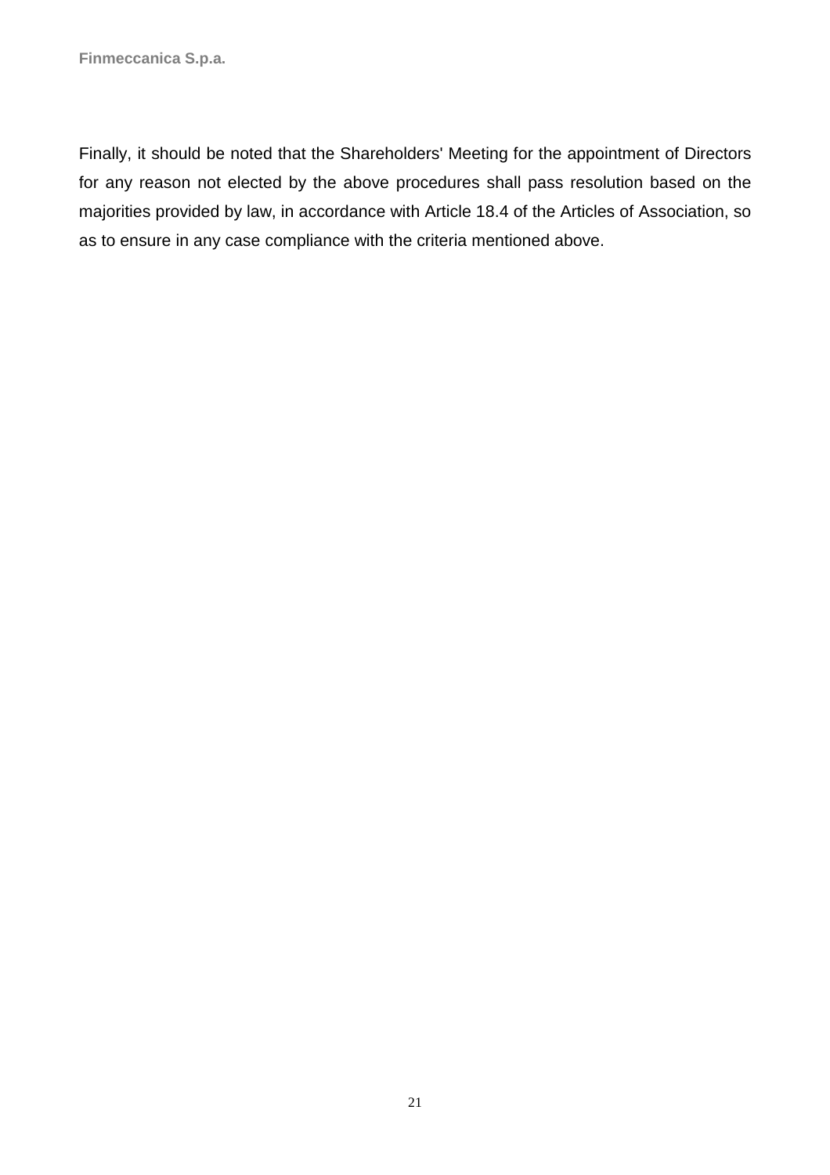Finally, it should be noted that the Shareholders' Meeting for the appointment of Directors for any reason not elected by the above procedures shall pass resolution based on the majorities provided by law, in accordance with Article 18.4 of the Articles of Association, so as to ensure in any case compliance with the criteria mentioned above.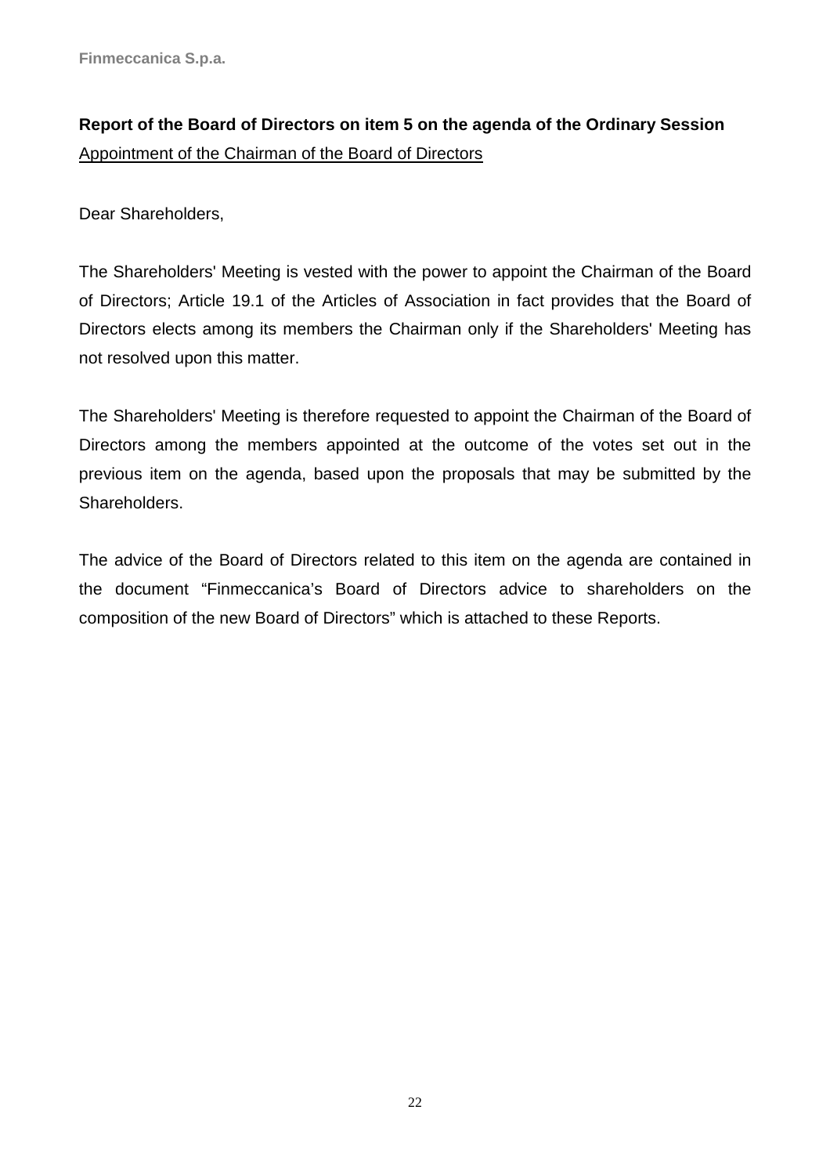# **Report of the Board of Directors on item 5 on the agenda of the Ordinary Session**  Appointment of the Chairman of the Board of Directors

Dear Shareholders,

The Shareholders' Meeting is vested with the power to appoint the Chairman of the Board of Directors; Article 19.1 of the Articles of Association in fact provides that the Board of Directors elects among its members the Chairman only if the Shareholders' Meeting has not resolved upon this matter.

The Shareholders' Meeting is therefore requested to appoint the Chairman of the Board of Directors among the members appointed at the outcome of the votes set out in the previous item on the agenda, based upon the proposals that may be submitted by the Shareholders.

The advice of the Board of Directors related to this item on the agenda are contained in the document "Finmeccanica's Board of Directors advice to shareholders on the composition of the new Board of Directors" which is attached to these Reports.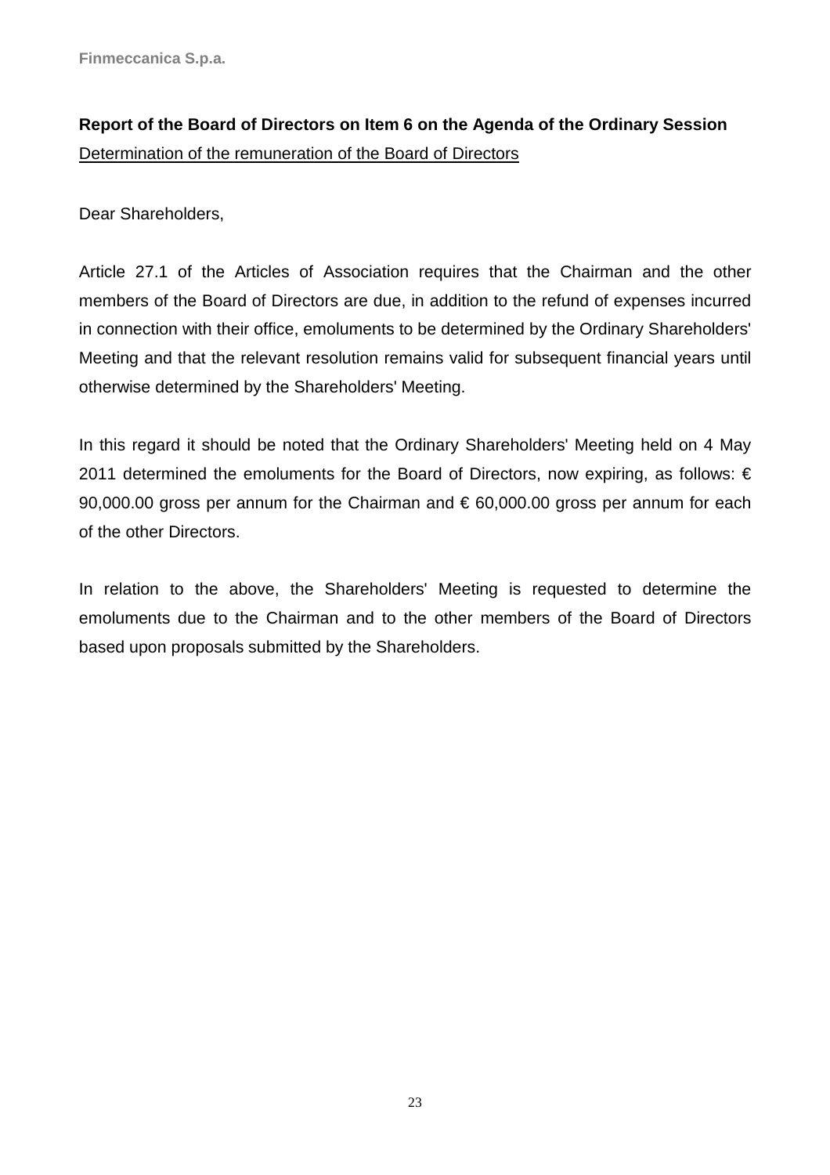# **Report of the Board of Directors on Item 6 on the Agenda of the Ordinary Session**  Determination of the remuneration of the Board of Directors

Dear Shareholders,

Article 27.1 of the Articles of Association requires that the Chairman and the other members of the Board of Directors are due, in addition to the refund of expenses incurred in connection with their office, emoluments to be determined by the Ordinary Shareholders' Meeting and that the relevant resolution remains valid for subsequent financial years until otherwise determined by the Shareholders' Meeting.

In this regard it should be noted that the Ordinary Shareholders' Meeting held on 4 May 2011 determined the emoluments for the Board of Directors, now expiring, as follows: € 90,000.00 gross per annum for the Chairman and  $\epsilon$  60,000.00 gross per annum for each of the other Directors.

In relation to the above, the Shareholders' Meeting is requested to determine the emoluments due to the Chairman and to the other members of the Board of Directors based upon proposals submitted by the Shareholders.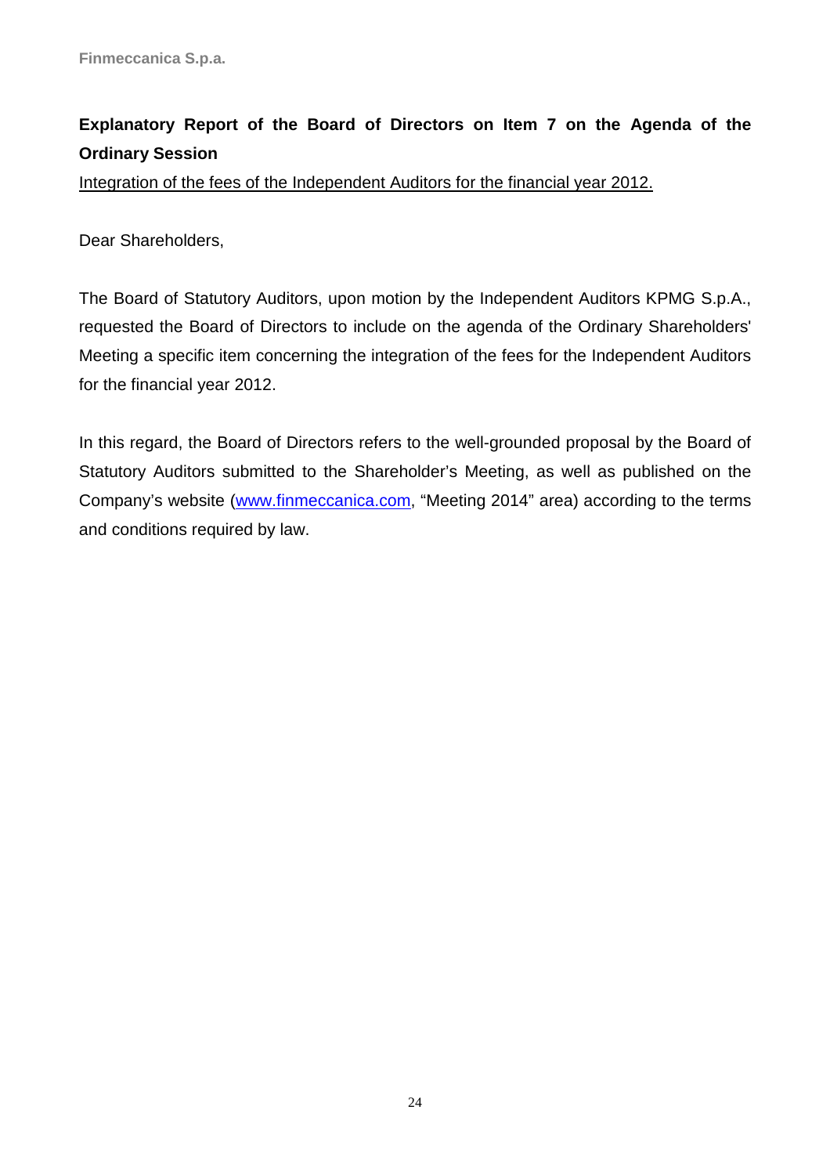# **Explanatory Report of the Board of Directors on Item 7 on the Agenda of the Ordinary Session**

Integration of the fees of the Independent Auditors for the financial year 2012.

Dear Shareholders,

The Board of Statutory Auditors, upon motion by the Independent Auditors KPMG S.p.A., requested the Board of Directors to include on the agenda of the Ordinary Shareholders' Meeting a specific item concerning the integration of the fees for the Independent Auditors for the financial year 2012.

In this regard, the Board of Directors refers to the well-grounded proposal by the Board of Statutory Auditors submitted to the Shareholder's Meeting, as well as published on the Company's website (www.finmeccanica.com, "Meeting 2014" area) according to the terms and conditions required by law.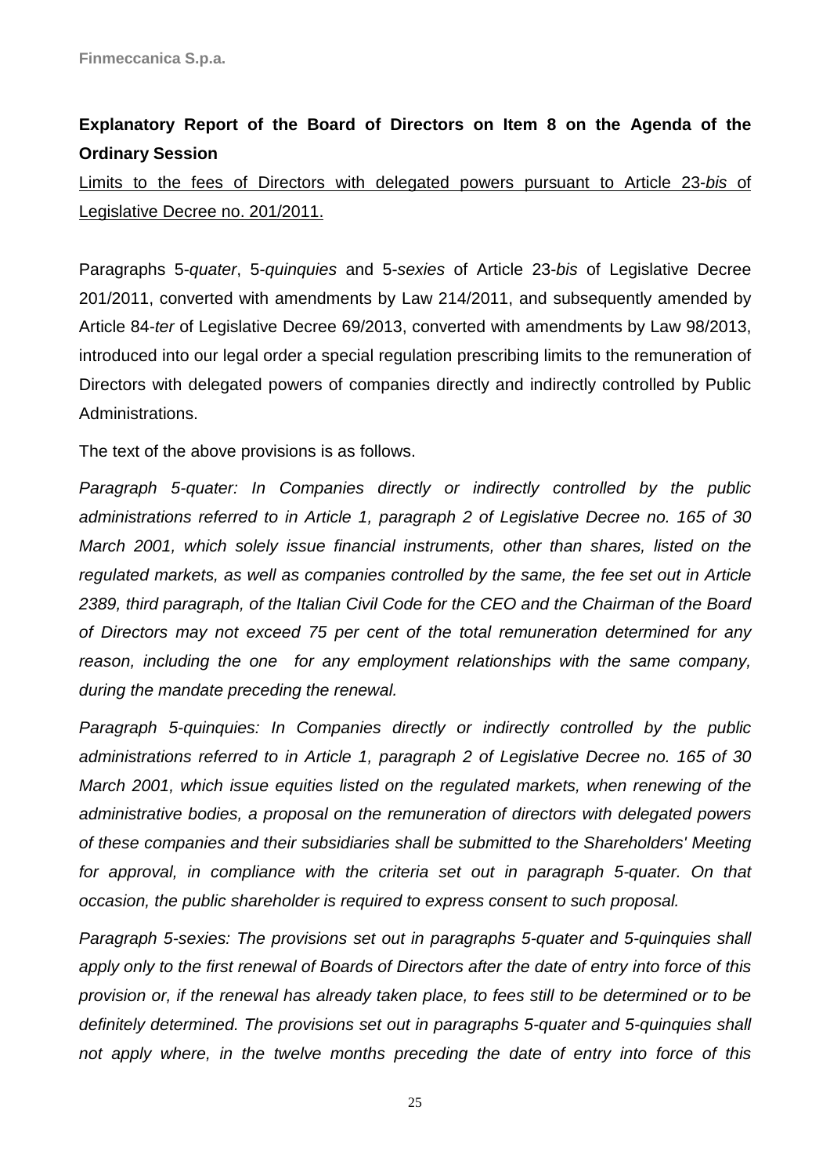## **Explanatory Report of the Board of Directors on Item 8 on the Agenda of the Ordinary Session**

Limits to the fees of Directors with delegated powers pursuant to Article 23-bis of Legislative Decree no. 201/2011.

Paragraphs 5-quater, 5-quinquies and 5-sexies of Article 23-bis of Legislative Decree 201/2011, converted with amendments by Law 214/2011, and subsequently amended by Article 84-ter of Legislative Decree 69/2013, converted with amendments by Law 98/2013, introduced into our legal order a special regulation prescribing limits to the remuneration of Directors with delegated powers of companies directly and indirectly controlled by Public Administrations.

The text of the above provisions is as follows.

Paragraph 5-quater: In Companies directly or indirectly controlled by the public administrations referred to in Article 1, paragraph 2 of Legislative Decree no. 165 of 30 March 2001, which solely issue financial instruments, other than shares, listed on the regulated markets, as well as companies controlled by the same, the fee set out in Article 2389, third paragraph, of the Italian Civil Code for the CEO and the Chairman of the Board of Directors may not exceed 75 per cent of the total remuneration determined for any reason, including the one for any employment relationships with the same company, during the mandate preceding the renewal.

Paragraph 5-quinquies: In Companies directly or indirectly controlled by the public administrations referred to in Article 1, paragraph 2 of Legislative Decree no. 165 of 30 March 2001, which issue equities listed on the regulated markets, when renewing of the administrative bodies, a proposal on the remuneration of directors with delegated powers of these companies and their subsidiaries shall be submitted to the Shareholders' Meeting for approval, in compliance with the criteria set out in paragraph 5-quater. On that occasion, the public shareholder is required to express consent to such proposal.

Paragraph 5-sexies: The provisions set out in paragraphs 5-quater and 5-quinquies shall apply only to the first renewal of Boards of Directors after the date of entry into force of this provision or, if the renewal has already taken place, to fees still to be determined or to be definitely determined. The provisions set out in paragraphs 5-quater and 5-quinquies shall not apply where, in the twelve months preceding the date of entry into force of this

25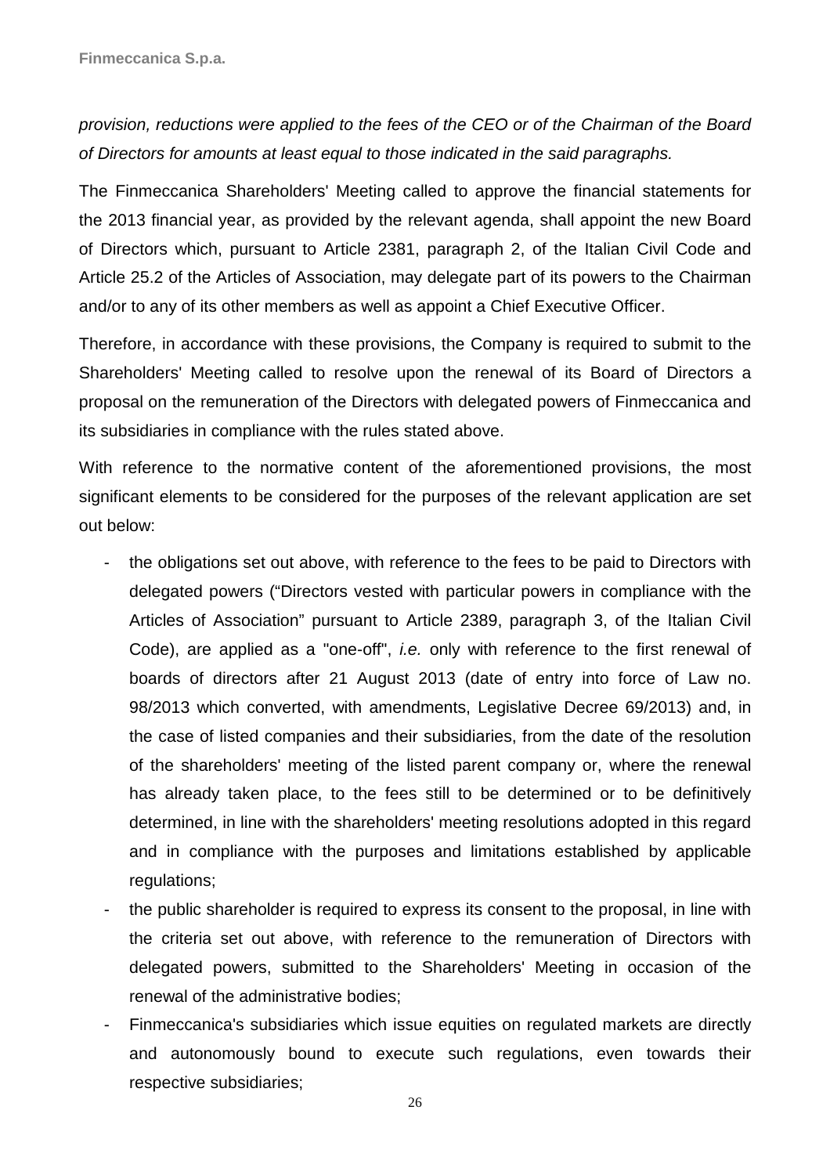## provision, reductions were applied to the fees of the CEO or of the Chairman of the Board of Directors for amounts at least equal to those indicated in the said paragraphs.

The Finmeccanica Shareholders' Meeting called to approve the financial statements for the 2013 financial year, as provided by the relevant agenda, shall appoint the new Board of Directors which, pursuant to Article 2381, paragraph 2, of the Italian Civil Code and Article 25.2 of the Articles of Association, may delegate part of its powers to the Chairman and/or to any of its other members as well as appoint a Chief Executive Officer.

Therefore, in accordance with these provisions, the Company is required to submit to the Shareholders' Meeting called to resolve upon the renewal of its Board of Directors a proposal on the remuneration of the Directors with delegated powers of Finmeccanica and its subsidiaries in compliance with the rules stated above.

With reference to the normative content of the aforementioned provisions, the most significant elements to be considered for the purposes of the relevant application are set out below:

- the obligations set out above, with reference to the fees to be paid to Directors with delegated powers ("Directors vested with particular powers in compliance with the Articles of Association" pursuant to Article 2389, paragraph 3, of the Italian Civil Code), are applied as a "one-off", i.e. only with reference to the first renewal of boards of directors after 21 August 2013 (date of entry into force of Law no. 98/2013 which converted, with amendments, Legislative Decree 69/2013) and, in the case of listed companies and their subsidiaries, from the date of the resolution of the shareholders' meeting of the listed parent company or, where the renewal has already taken place, to the fees still to be determined or to be definitively determined, in line with the shareholders' meeting resolutions adopted in this regard and in compliance with the purposes and limitations established by applicable regulations;
- the public shareholder is required to express its consent to the proposal, in line with the criteria set out above, with reference to the remuneration of Directors with delegated powers, submitted to the Shareholders' Meeting in occasion of the renewal of the administrative bodies;
- Finmeccanica's subsidiaries which issue equities on regulated markets are directly and autonomously bound to execute such regulations, even towards their respective subsidiaries;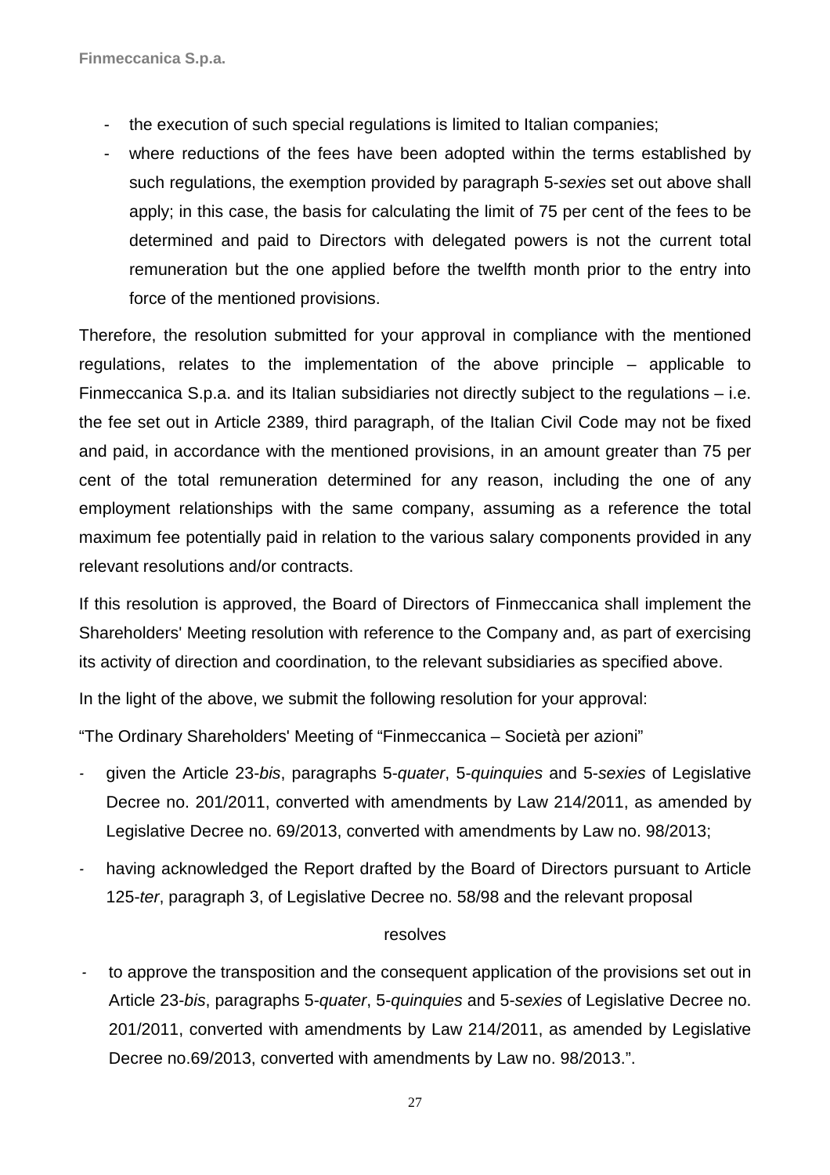- the execution of such special regulations is limited to Italian companies;
- where reductions of the fees have been adopted within the terms established by such regulations, the exemption provided by paragraph 5-sexies set out above shall apply; in this case, the basis for calculating the limit of 75 per cent of the fees to be determined and paid to Directors with delegated powers is not the current total remuneration but the one applied before the twelfth month prior to the entry into force of the mentioned provisions.

Therefore, the resolution submitted for your approval in compliance with the mentioned regulations, relates to the implementation of the above principle – applicable to Finmeccanica S.p.a. and its Italian subsidiaries not directly subject to the regulations – i.e. the fee set out in Article 2389, third paragraph, of the Italian Civil Code may not be fixed and paid, in accordance with the mentioned provisions, in an amount greater than 75 per cent of the total remuneration determined for any reason, including the one of any employment relationships with the same company, assuming as a reference the total maximum fee potentially paid in relation to the various salary components provided in any relevant resolutions and/or contracts.

If this resolution is approved, the Board of Directors of Finmeccanica shall implement the Shareholders' Meeting resolution with reference to the Company and, as part of exercising its activity of direction and coordination, to the relevant subsidiaries as specified above.

In the light of the above, we submit the following resolution for your approval:

"The Ordinary Shareholders' Meeting of "Finmeccanica – Società per azioni"

- *-* given the Article 23-bis, paragraphs 5-quater, 5-quinquies and 5-sexies of Legislative Decree no. 201/2011, converted with amendments by Law 214/2011, as amended by Legislative Decree no. 69/2013, converted with amendments by Law no. 98/2013;
- *-* having acknowledged the Report drafted by the Board of Directors pursuant to Article 125-ter, paragraph 3, of Legislative Decree no. 58/98 and the relevant proposal

### resolves

*-* to approve the transposition and the consequent application of the provisions set out in Article 23-bis, paragraphs 5-quater, 5-quinquies and 5-sexies of Legislative Decree no. 201/2011, converted with amendments by Law 214/2011, as amended by Legislative Decree no.69/2013, converted with amendments by Law no. 98/2013.".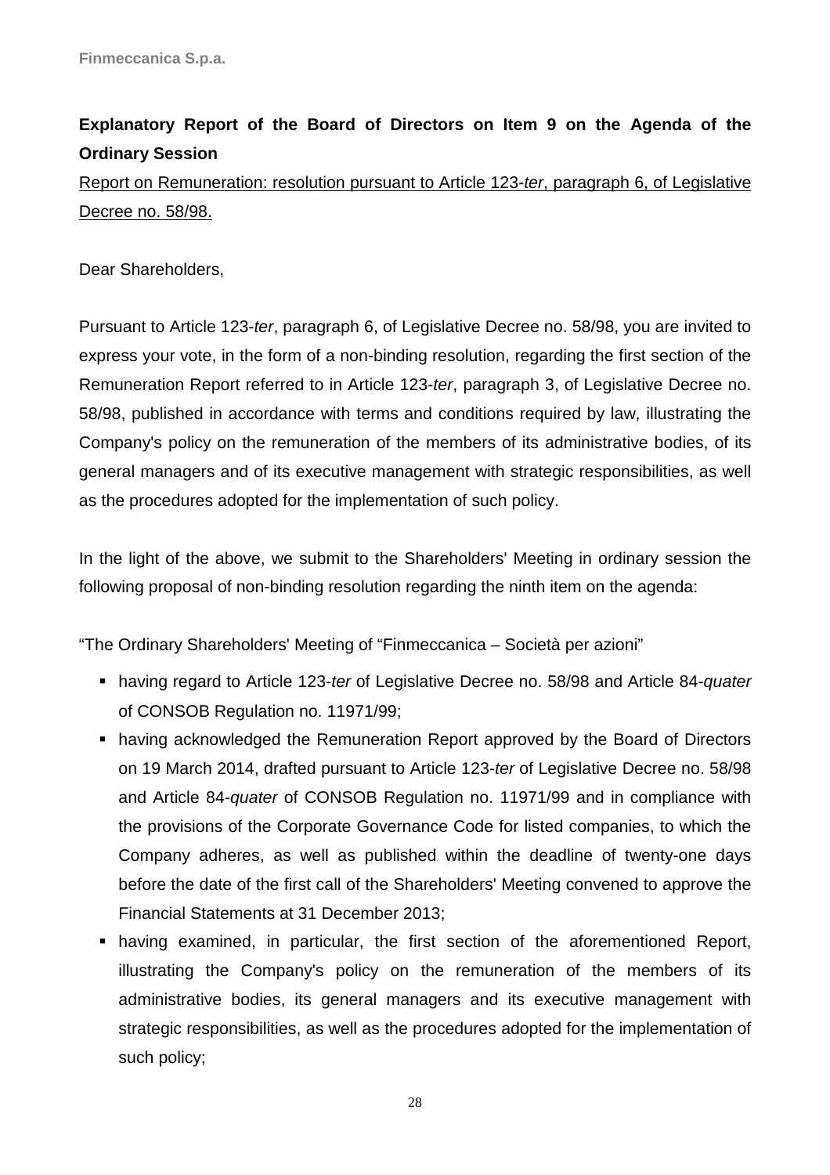# **Explanatory Report of the Board of Directors on Item 9 on the Agenda of the Ordinary Session**

Report on Remuneration: resolution pursuant to Article 123-ter, paragraph 6, of Legislative Decree no. 58/98.

Dear Shareholders,

Pursuant to Article 123-ter, paragraph 6, of Legislative Decree no. 58/98, you are invited to express your vote, in the form of a non-binding resolution, regarding the first section of the Remuneration Report referred to in Article 123-ter, paragraph 3, of Legislative Decree no. 58/98, published in accordance with terms and conditions required by law, illustrating the Company's policy on the remuneration of the members of its administrative bodies, of its general managers and of its executive management with strategic responsibilities, as well as the procedures adopted for the implementation of such policy.

In the light of the above, we submit to the Shareholders' Meeting in ordinary session the following proposal of non-binding resolution regarding the ninth item on the agenda:

"The Ordinary Shareholders' Meeting of "Finmeccanica – Società per azioni"

- having regard to Article 123-ter of Legislative Decree no. 58/98 and Article 84-quater of CONSOB Regulation no. 11971/99;
- having acknowledged the Remuneration Report approved by the Board of Directors on 19 March 2014, drafted pursuant to Article 123-ter of Legislative Decree no. 58/98 and Article 84-quater of CONSOB Regulation no. 11971/99 and in compliance with the provisions of the Corporate Governance Code for listed companies, to which the Company adheres, as well as published within the deadline of twenty-one days before the date of the first call of the Shareholders' Meeting convened to approve the Financial Statements at 31 December 2013;
- having examined, in particular, the first section of the aforementioned Report, illustrating the Company's policy on the remuneration of the members of its administrative bodies, its general managers and its executive management with strategic responsibilities, as well as the procedures adopted for the implementation of such policy;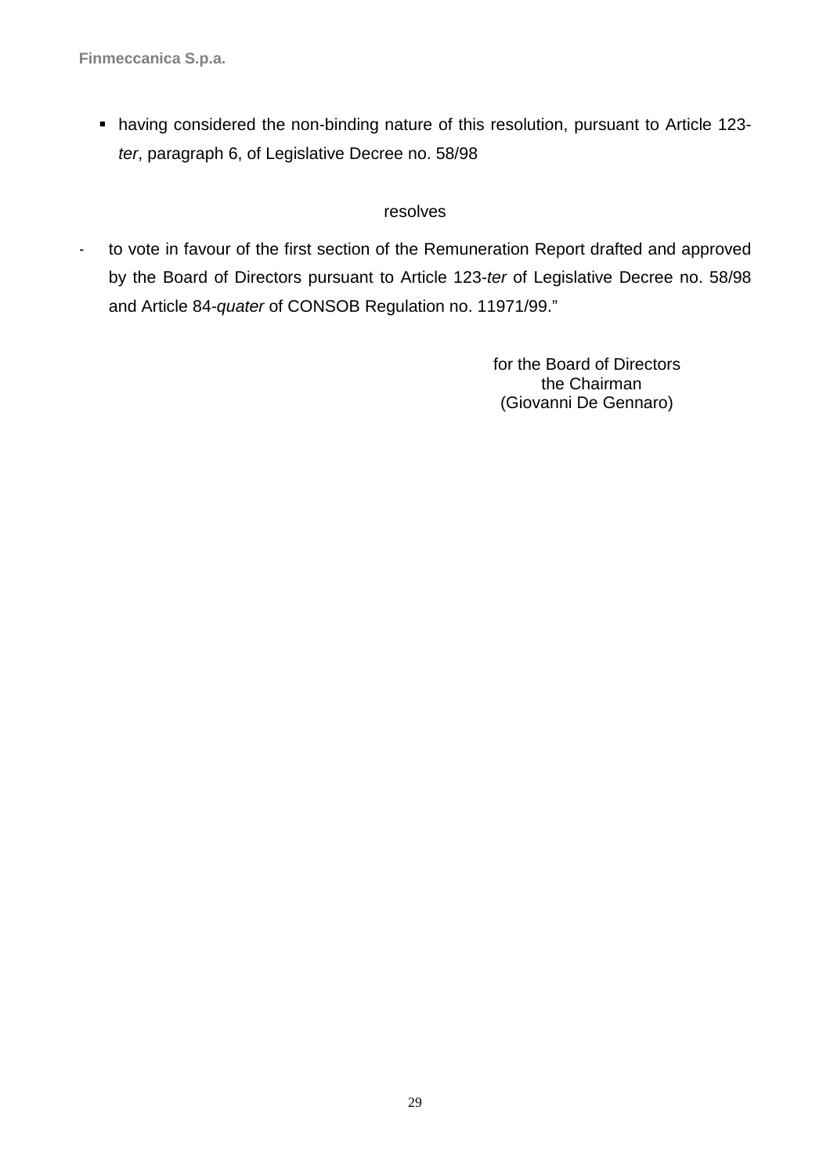having considered the non-binding nature of this resolution, pursuant to Article 123 ter, paragraph 6, of Legislative Decree no. 58/98

### resolves

*-* to vote in favour of the first section of the Remuneration Report drafted and approved by the Board of Directors pursuant to Article 123-ter of Legislative Decree no. 58/98 and Article 84-quater of CONSOB Regulation no. 11971/99."

> for the Board of Directors the Chairman (Giovanni De Gennaro)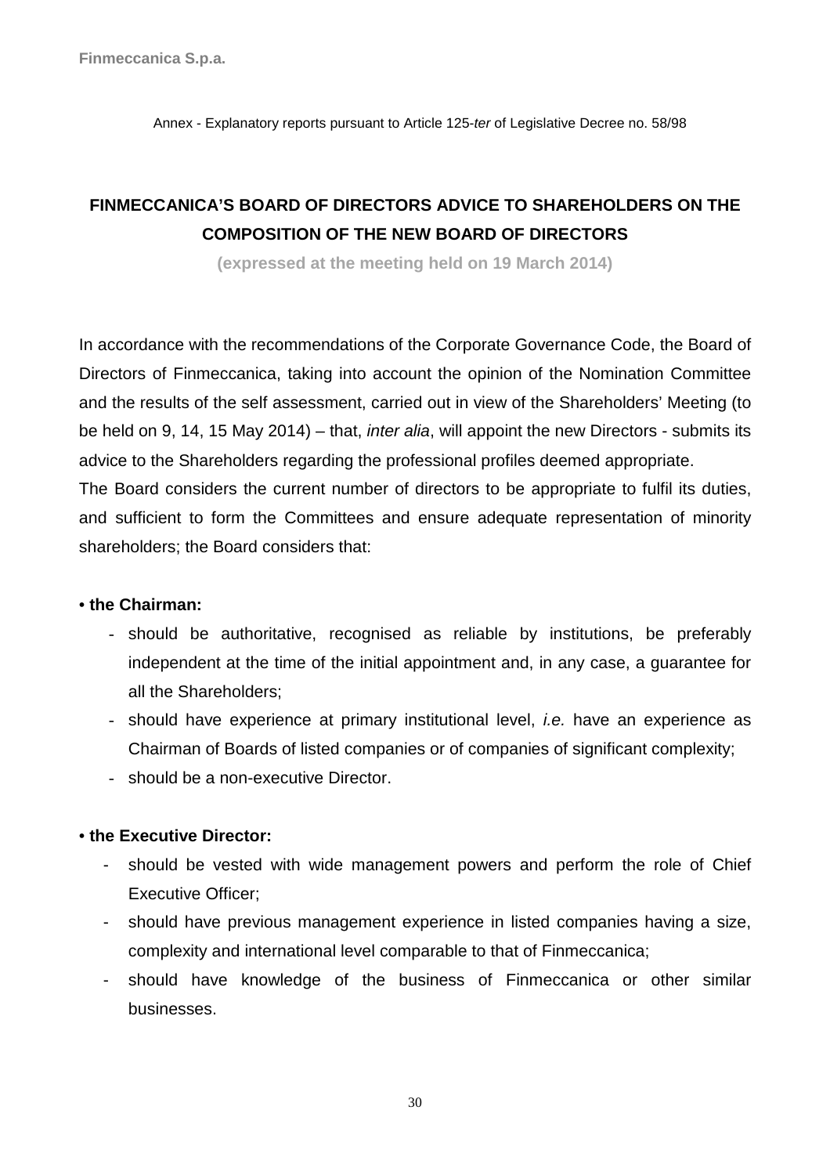Annex - Explanatory reports pursuant to Article 125-ter of Legislative Decree no. 58/98

# **FINMECCANICA'S BOARD OF DIRECTORS ADVICE TO SHAREHOLDERS ON THE COMPOSITION OF THE NEW BOARD OF DIRECTORS**

**(expressed at the meeting held on 19 March 2014)**

In accordance with the recommendations of the Corporate Governance Code, the Board of Directors of Finmeccanica, taking into account the opinion of the Nomination Committee and the results of the self assessment, carried out in view of the Shareholders' Meeting (to be held on 9, 14, 15 May 2014) – that, inter alia, will appoint the new Directors - submits its advice to the Shareholders regarding the professional profiles deemed appropriate. The Board considers the current number of directors to be appropriate to fulfil its duties, and sufficient to form the Committees and ensure adequate representation of minority shareholders; the Board considers that:

### • **the Chairman:**

- should be authoritative, recognised as reliable by institutions, be preferably independent at the time of the initial appointment and, in any case, a guarantee for all the Shareholders;
- should have experience at primary institutional level, i.e. have an experience as Chairman of Boards of listed companies or of companies of significant complexity;
- should be a non-executive Director.

### • **the Executive Director:**

- should be vested with wide management powers and perform the role of Chief Executive Officer;
- should have previous management experience in listed companies having a size, complexity and international level comparable to that of Finmeccanica;
- should have knowledge of the business of Finmeccanica or other similar businesses.